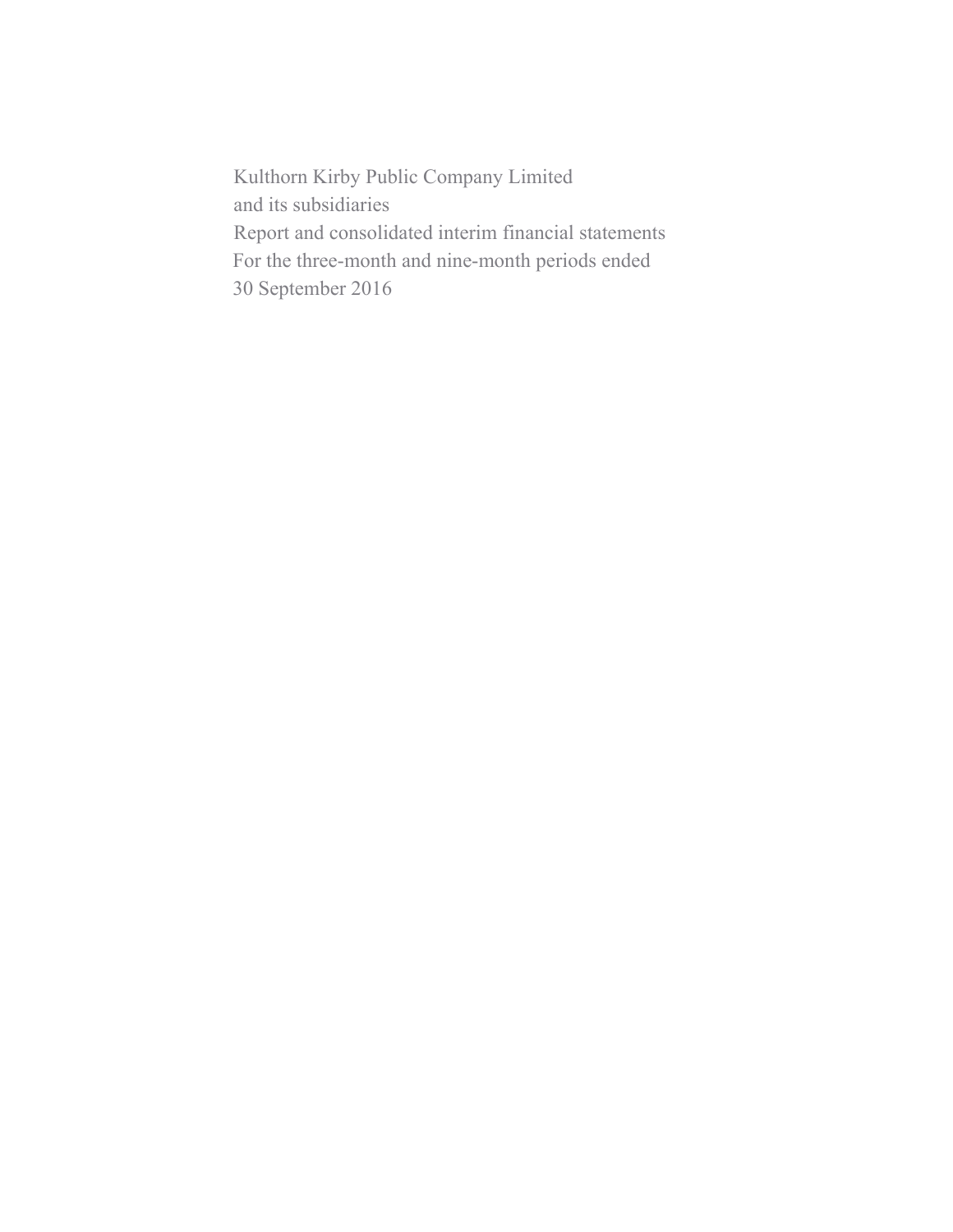Kulthorn Kirby Public Company Limited and its subsidiaries Report and consolidated interim financial statements For the three-month and nine-month periods ended 30 September 2016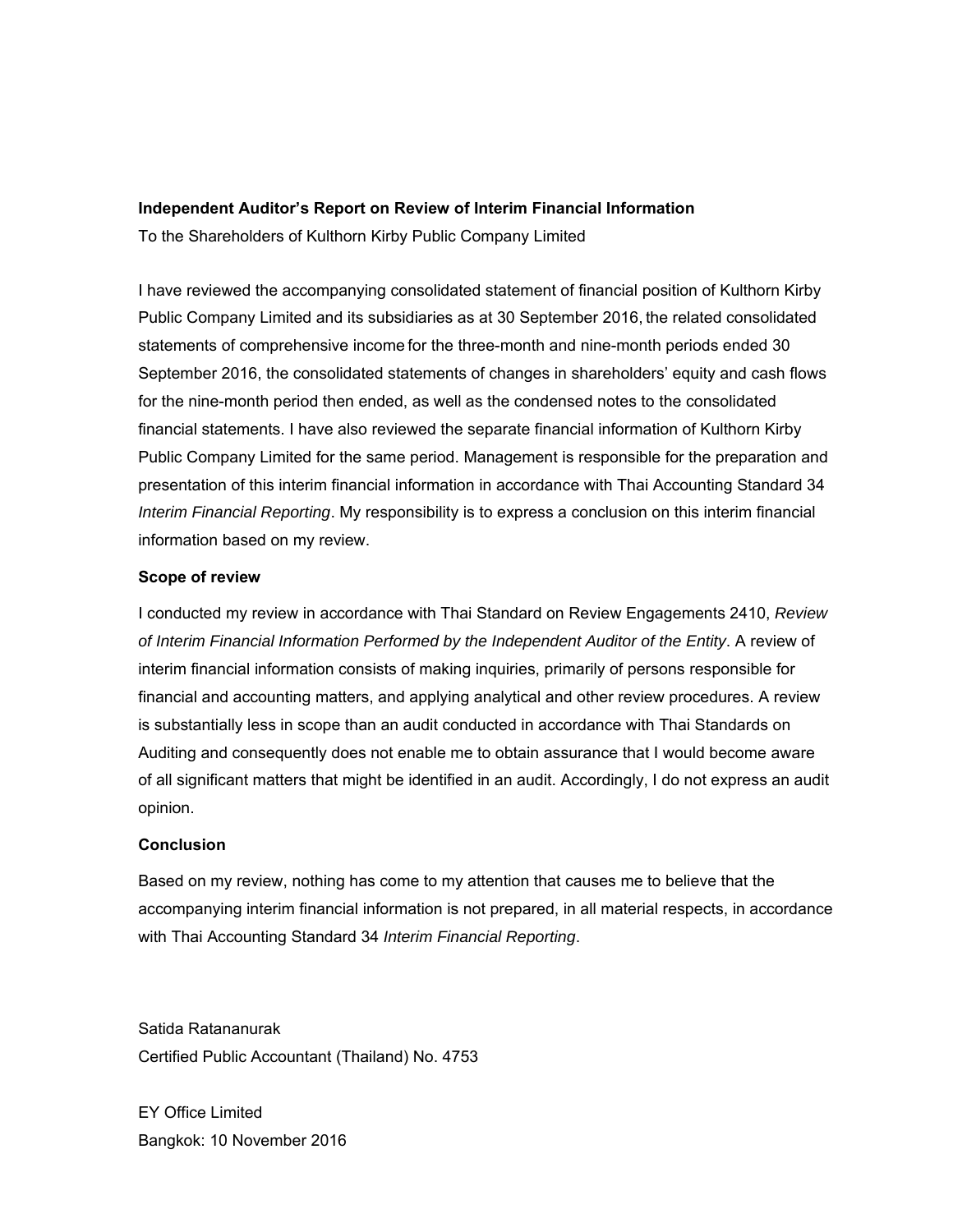#### **Independent Auditor's Report on Review of Interim Financial Information**

To the Shareholders of Kulthorn Kirby Public Company Limited

I have reviewed the accompanying consolidated statement of financial position of Kulthorn Kirby Public Company Limited and its subsidiaries as at 30 September 2016, the related consolidated statements of comprehensive income for the three-month and nine-month periods ended 30 September 2016, the consolidated statements of changes in shareholders' equity and cash flows for the nine-month period then ended, as well as the condensed notes to the consolidated financial statements. I have also reviewed the separate financial information of Kulthorn Kirby Public Company Limited for the same period. Management is responsible for the preparation and presentation of this interim financial information in accordance with Thai Accounting Standard 34 *Interim Financial Reporting*. My responsibility is to express a conclusion on this interim financial information based on my review.

### **Scope of review**

I conducted my review in accordance with Thai Standard on Review Engagements 2410, *Review of Interim Financial Information Performed by the Independent Auditor of the Entity*. A review of interim financial information consists of making inquiries, primarily of persons responsible for financial and accounting matters, and applying analytical and other review procedures. A review is substantially less in scope than an audit conducted in accordance with Thai Standards on Auditing and consequently does not enable me to obtain assurance that I would become aware of all significant matters that might be identified in an audit. Accordingly, I do not express an audit opinion.

### **Conclusion**

Based on my review, nothing has come to my attention that causes me to believe that the accompanying interim financial information is not prepared, in all material respects, in accordance with Thai Accounting Standard 34 *Interim Financial Reporting*.

Satida Ratananurak Certified Public Accountant (Thailand) No. 4753

EY Office Limited Bangkok: 10 November 2016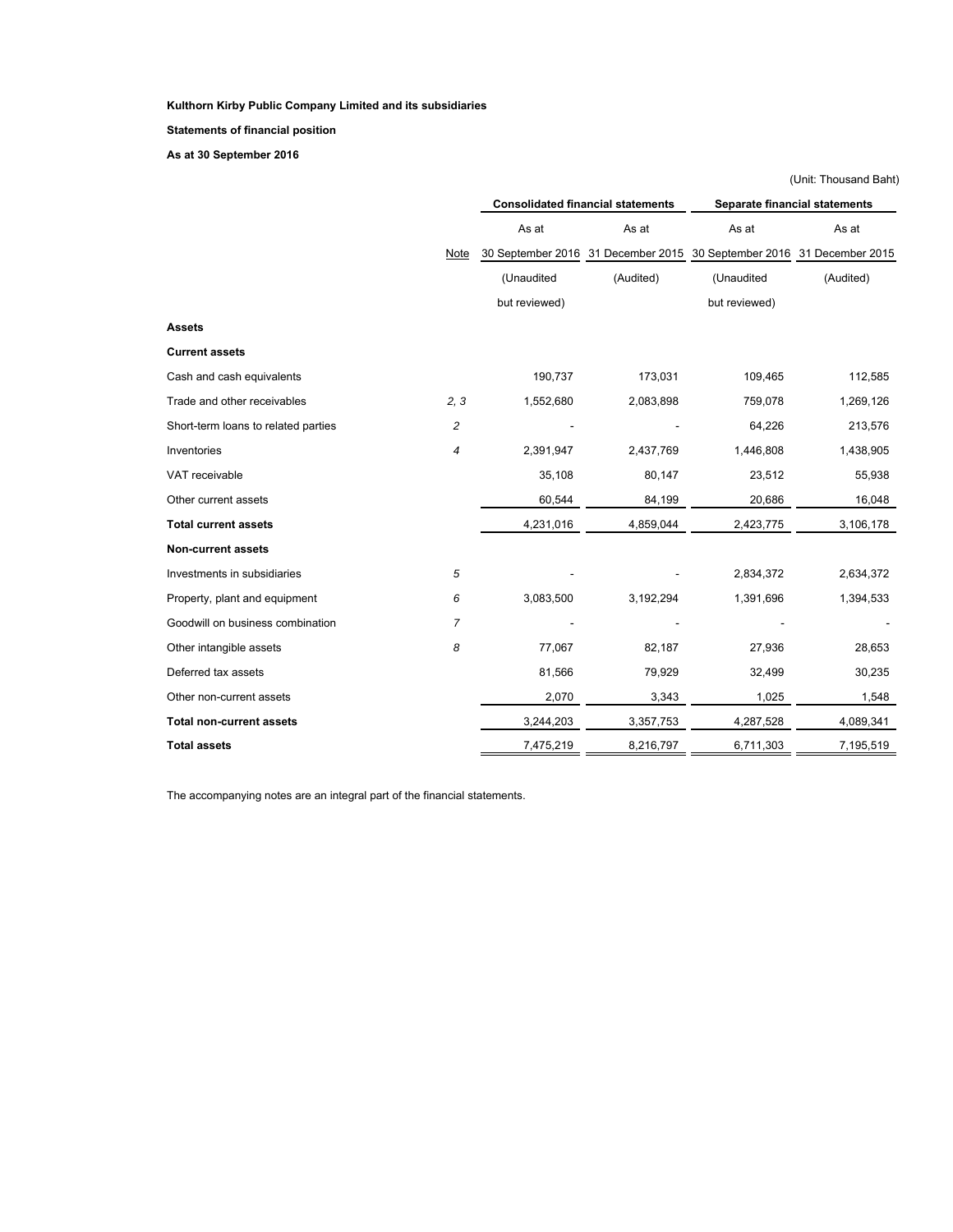**Statements of financial position**

**As at 30 September 2016** 

|                                     |                |               |                                          |                                    | (Unit: Thousand Baht)                |  |  |  |
|-------------------------------------|----------------|---------------|------------------------------------------|------------------------------------|--------------------------------------|--|--|--|
|                                     |                |               | <b>Consolidated financial statements</b> |                                    | <b>Separate financial statements</b> |  |  |  |
|                                     |                | As at         | As at                                    | As at                              | As at                                |  |  |  |
|                                     | Note           |               | 30 September 2016 31 December 2015       | 30 September 2016 31 December 2015 |                                      |  |  |  |
|                                     |                | (Unaudited    | (Audited)                                | (Unaudited                         | (Audited)                            |  |  |  |
|                                     |                | but reviewed) |                                          | but reviewed)                      |                                      |  |  |  |
| <b>Assets</b>                       |                |               |                                          |                                    |                                      |  |  |  |
| <b>Current assets</b>               |                |               |                                          |                                    |                                      |  |  |  |
| Cash and cash equivalents           |                | 190,737       | 173,031                                  | 109,465                            | 112,585                              |  |  |  |
| Trade and other receivables         | 2, 3           | 1,552,680     | 2,083,898                                | 759,078                            | 1,269,126                            |  |  |  |
| Short-term loans to related parties | 2              |               |                                          | 64,226                             | 213,576                              |  |  |  |
| Inventories                         | 4              | 2,391,947     | 2,437,769                                | 1,446,808                          | 1,438,905                            |  |  |  |
| VAT receivable                      |                | 35,108        | 80,147                                   | 23,512                             | 55,938                               |  |  |  |
| Other current assets                |                | 60,544        | 84,199                                   | 20,686                             | 16,048                               |  |  |  |
| <b>Total current assets</b>         |                | 4,231,016     | 4,859,044                                | 2,423,775                          | 3,106,178                            |  |  |  |
| <b>Non-current assets</b>           |                |               |                                          |                                    |                                      |  |  |  |
| Investments in subsidiaries         | 5              |               |                                          | 2,834,372                          | 2,634,372                            |  |  |  |
| Property, plant and equipment       | 6              | 3,083,500     | 3,192,294                                | 1,391,696                          | 1,394,533                            |  |  |  |
| Goodwill on business combination    | $\overline{7}$ |               |                                          |                                    |                                      |  |  |  |
| Other intangible assets             | 8              | 77,067        | 82,187                                   | 27,936                             | 28,653                               |  |  |  |
| Deferred tax assets                 |                | 81,566        | 79,929                                   | 32,499                             | 30,235                               |  |  |  |
| Other non-current assets            |                | 2,070         | 3,343                                    | 1,025                              | 1,548                                |  |  |  |
| <b>Total non-current assets</b>     |                | 3,244,203     | 3,357,753                                | 4,287,528                          | 4,089,341                            |  |  |  |
| <b>Total assets</b>                 |                | 7,475,219     | 8,216,797                                | 6,711,303                          | 7,195,519                            |  |  |  |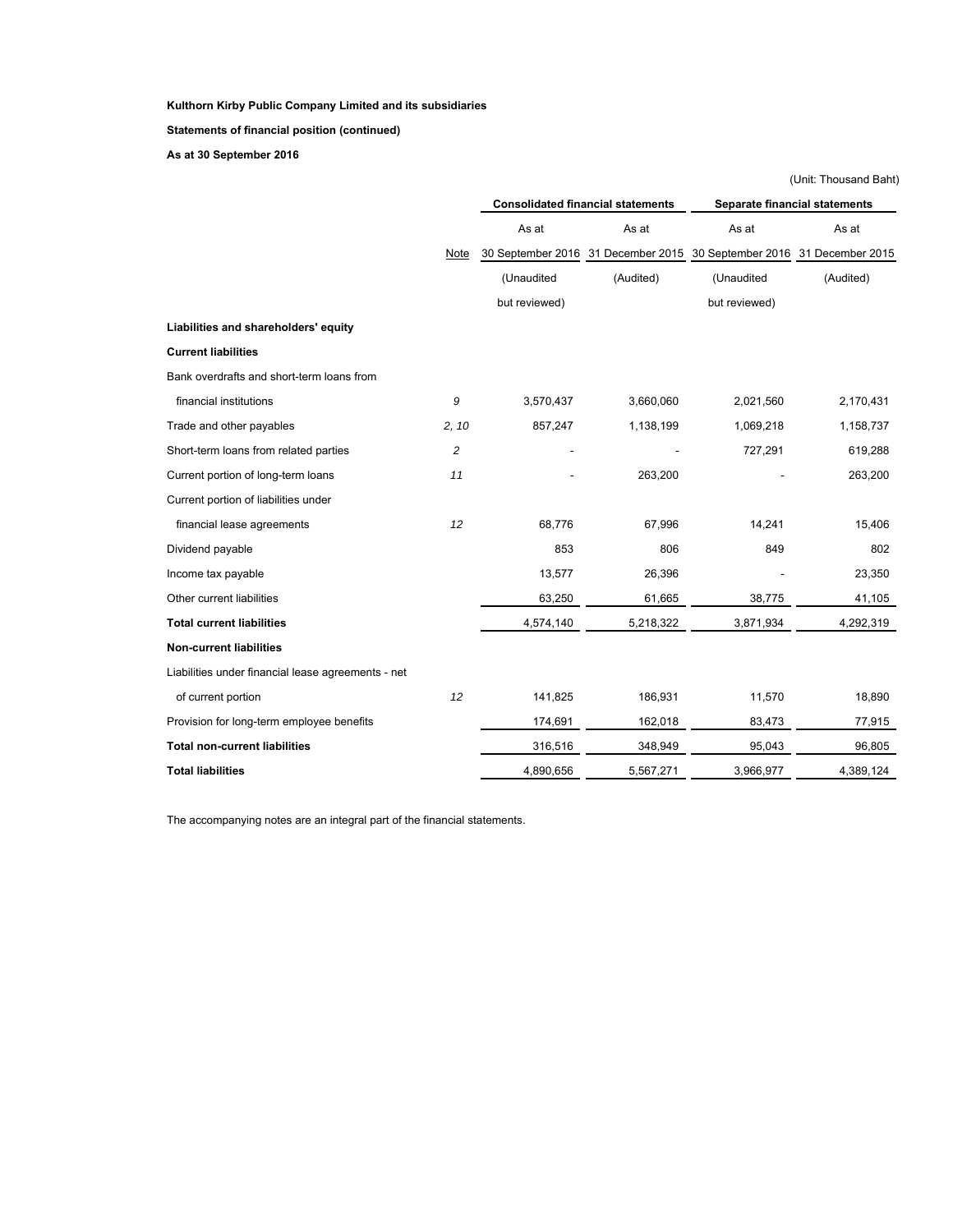**Statements of financial position (continued)**

**As at 30 September 2016** 

|                                                    |             |               |                                          |                                                                       | (Unit: Thousand Baht)         |  |  |
|----------------------------------------------------|-------------|---------------|------------------------------------------|-----------------------------------------------------------------------|-------------------------------|--|--|
|                                                    |             |               | <b>Consolidated financial statements</b> |                                                                       | Separate financial statements |  |  |
|                                                    |             | As at         | As at                                    | As at                                                                 | As at                         |  |  |
|                                                    | <b>Note</b> |               |                                          | 30 September 2016 31 December 2015 30 September 2016 31 December 2015 |                               |  |  |
|                                                    |             | (Unaudited    | (Audited)                                | (Unaudited                                                            | (Audited)                     |  |  |
|                                                    |             | but reviewed) |                                          | but reviewed)                                                         |                               |  |  |
| Liabilities and shareholders' equity               |             |               |                                          |                                                                       |                               |  |  |
| <b>Current liabilities</b>                         |             |               |                                          |                                                                       |                               |  |  |
| Bank overdrafts and short-term loans from          |             |               |                                          |                                                                       |                               |  |  |
| financial institutions                             | 9           | 3,570,437     | 3,660,060                                | 2,021,560                                                             | 2,170,431                     |  |  |
| Trade and other payables                           | 2, 10       | 857,247       | 1,138,199                                | 1,069,218                                                             | 1,158,737                     |  |  |
| Short-term loans from related parties              | 2           |               |                                          | 727,291                                                               | 619,288                       |  |  |
| Current portion of long-term loans                 | 11          |               | 263,200                                  |                                                                       | 263,200                       |  |  |
| Current portion of liabilities under               |             |               |                                          |                                                                       |                               |  |  |
| financial lease agreements                         | 12          | 68,776        | 67,996                                   | 14,241                                                                | 15,406                        |  |  |
| Dividend payable                                   |             | 853           | 806                                      | 849                                                                   | 802                           |  |  |
| Income tax payable                                 |             | 13,577        | 26,396                                   |                                                                       | 23,350                        |  |  |
| Other current liabilities                          |             | 63,250        | 61,665                                   | 38,775                                                                | 41,105                        |  |  |
| <b>Total current liabilities</b>                   |             | 4,574,140     | 5,218,322                                | 3,871,934                                                             | 4,292,319                     |  |  |
| <b>Non-current liabilities</b>                     |             |               |                                          |                                                                       |                               |  |  |
| Liabilities under financial lease agreements - net |             |               |                                          |                                                                       |                               |  |  |
| of current portion                                 | 12          | 141,825       | 186,931                                  | 11,570                                                                | 18,890                        |  |  |
| Provision for long-term employee benefits          |             | 174,691       | 162,018                                  | 83,473                                                                | 77,915                        |  |  |
| <b>Total non-current liabilities</b>               |             | 316,516       | 348,949                                  | 95,043                                                                | 96,805                        |  |  |
| <b>Total liabilities</b>                           |             | 4,890,656     | 5,567,271                                | 3,966,977                                                             | 4,389,124                     |  |  |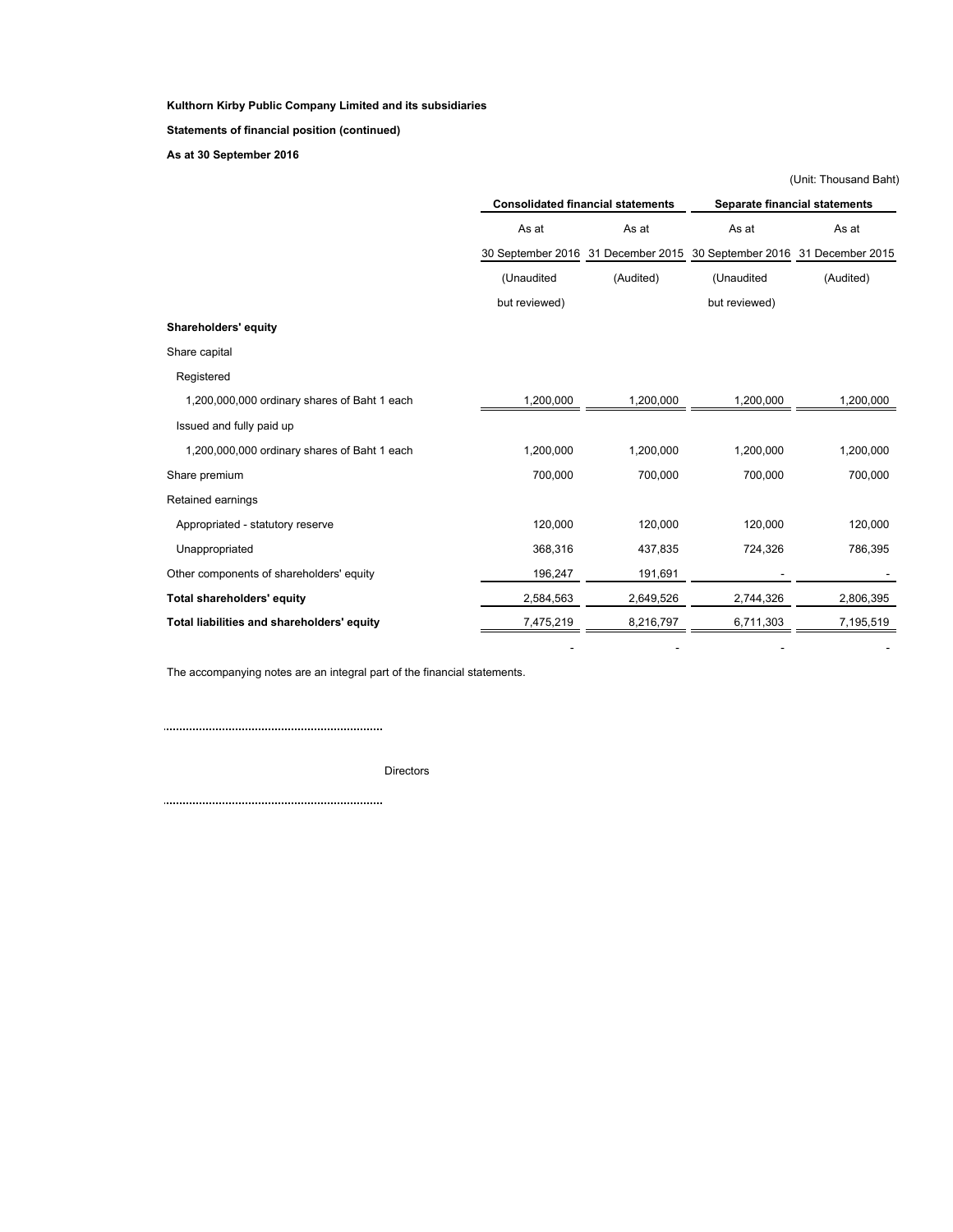**Statements of financial position (continued)**

**As at 30 September 2016** 

|                                              |               |                                          |                                    | (Unit: Thousand Baht) |  |
|----------------------------------------------|---------------|------------------------------------------|------------------------------------|-----------------------|--|
|                                              |               | <b>Consolidated financial statements</b> | Separate financial statements      |                       |  |
|                                              | As at         | As at                                    | As at                              | As at                 |  |
|                                              |               | 30 September 2016 31 December 2015       | 30 September 2016 31 December 2015 |                       |  |
|                                              | (Unaudited    | (Audited)                                | (Unaudited                         | (Audited)             |  |
|                                              | but reviewed) |                                          | but reviewed)                      |                       |  |
| Shareholders' equity                         |               |                                          |                                    |                       |  |
| Share capital                                |               |                                          |                                    |                       |  |
| Registered                                   |               |                                          |                                    |                       |  |
| 1,200,000,000 ordinary shares of Baht 1 each | 1,200,000     | 1,200,000                                | 1,200,000                          | 1,200,000             |  |
| Issued and fully paid up                     |               |                                          |                                    |                       |  |
| 1,200,000,000 ordinary shares of Baht 1 each | 1,200,000     | 1,200,000                                | 1,200,000                          | 1,200,000             |  |
| Share premium                                | 700,000       | 700,000                                  | 700,000                            | 700,000               |  |
| Retained earnings                            |               |                                          |                                    |                       |  |
| Appropriated - statutory reserve             | 120,000       | 120,000                                  | 120,000                            | 120,000               |  |
| Unappropriated                               | 368,316       | 437,835                                  | 724,326                            | 786,395               |  |
| Other components of shareholders' equity     | 196,247       | 191,691                                  |                                    |                       |  |
| Total shareholders' equity                   | 2,584,563     | 2,649,526                                | 2,744,326                          | 2,806,395             |  |
| Total liabilities and shareholders' equity   | 7,475,219     | 8,216,797                                | 6,711,303                          | 7,195,519             |  |

- - - -

The accompanying notes are an integral part of the financial statements.

 $\begin{minipage}{0.5\textwidth} \begin{tabular}{|l|l|l|} \hline \textbf{0.01} & \textbf{0.01} & \textbf{0.01} & \textbf{0.01} & \textbf{0.01} & \textbf{0.01} & \textbf{0.01} & \textbf{0.01} & \textbf{0.01} & \textbf{0.01} & \textbf{0.01} & \textbf{0.01} & \textbf{0.01} & \textbf{0.01} & \textbf{0.01} & \textbf{0.01} & \textbf{0.01} & \textbf{0.01} & \textbf{0.01}$ 

Directors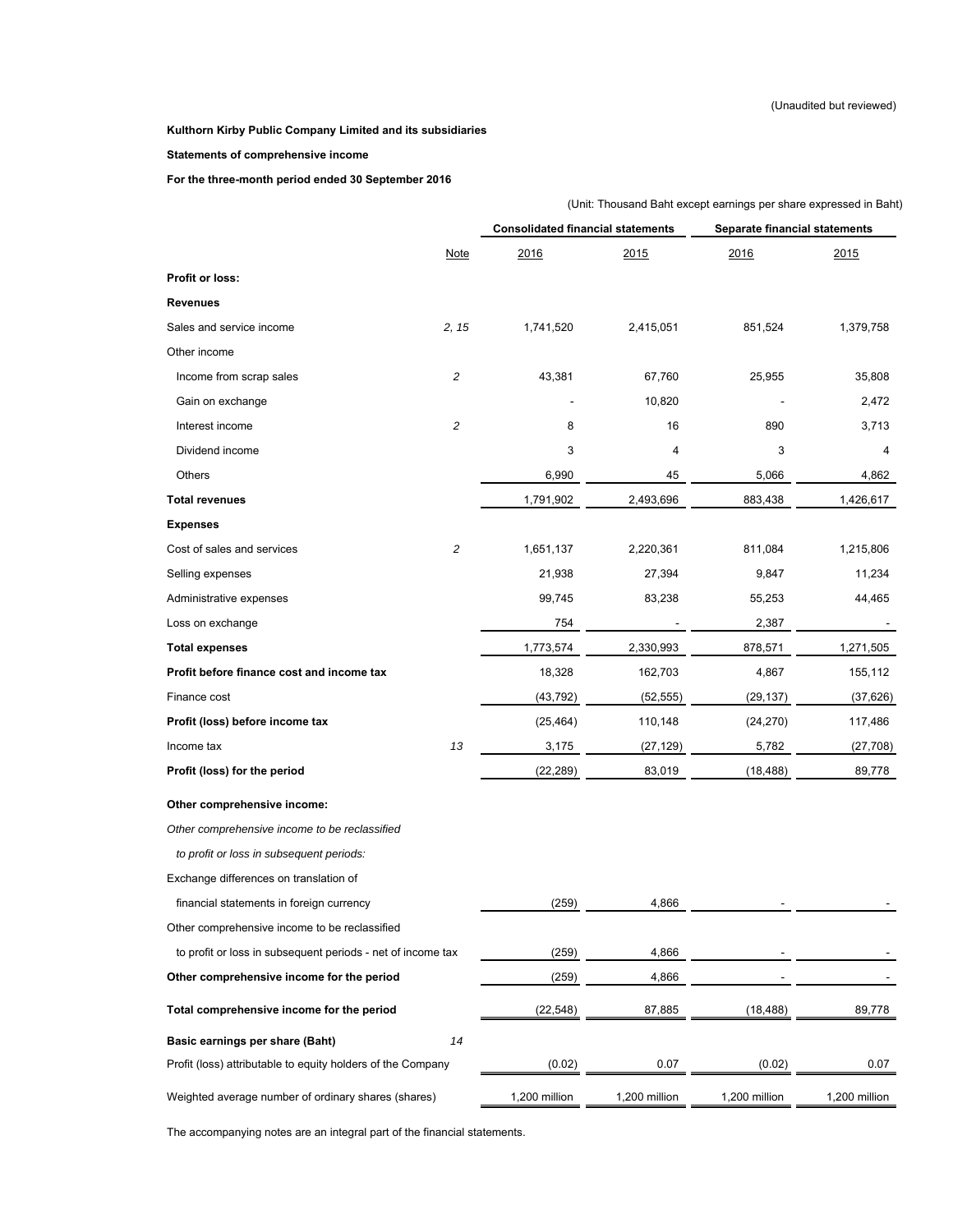#### **Statements of comprehensive income**

**For the three-month period ended 30 September 2016** 

|                                                             |                | (Unit: Thousand Baht except earnings per share expressed in Baht) |               |                               |               |  |  |
|-------------------------------------------------------------|----------------|-------------------------------------------------------------------|---------------|-------------------------------|---------------|--|--|
|                                                             |                | <b>Consolidated financial statements</b>                          |               | Separate financial statements |               |  |  |
|                                                             | <b>Note</b>    | 2016                                                              | 2015          | 2016                          | 2015          |  |  |
| Profit or loss:                                             |                |                                                                   |               |                               |               |  |  |
| Revenues                                                    |                |                                                                   |               |                               |               |  |  |
| Sales and service income                                    | 2, 15          | 1,741,520                                                         | 2,415,051     | 851,524                       | 1,379,758     |  |  |
| Other income                                                |                |                                                                   |               |                               |               |  |  |
| Income from scrap sales                                     | $\overline{c}$ | 43,381                                                            | 67,760        | 25,955                        | 35,808        |  |  |
| Gain on exchange                                            |                |                                                                   | 10,820        |                               | 2,472         |  |  |
| Interest income                                             | $\overline{c}$ | 8                                                                 | 16            | 890                           | 3,713         |  |  |
| Dividend income                                             |                | 3                                                                 | 4             | 3                             | 4             |  |  |
| Others                                                      |                | 6,990                                                             | 45            | 5,066                         | 4,862         |  |  |
| <b>Total revenues</b>                                       |                | 1,791,902                                                         | 2,493,696     | 883,438                       | 1,426,617     |  |  |
| Expenses                                                    |                |                                                                   |               |                               |               |  |  |
| Cost of sales and services                                  | 2              | 1,651,137                                                         | 2,220,361     | 811,084                       | 1,215,806     |  |  |
| Selling expenses                                            |                | 21,938                                                            | 27,394        | 9,847                         | 11,234        |  |  |
| Administrative expenses                                     |                | 99,745                                                            | 83,238        | 55,253                        | 44,465        |  |  |
| Loss on exchange                                            |                | 754                                                               |               | 2,387                         |               |  |  |
| <b>Total expenses</b>                                       |                | 1,773,574                                                         | 2,330,993     | 878,571                       | 1,271,505     |  |  |
| Profit before finance cost and income tax                   |                | 18,328                                                            | 162,703       | 4,867                         | 155,112       |  |  |
| Finance cost                                                |                | (43, 792)                                                         | (52, 555)     | (29, 137)                     | (37, 626)     |  |  |
| Profit (loss) before income tax                             |                | (25, 464)                                                         | 110,148       | (24, 270)                     | 117,486       |  |  |
| Income tax                                                  | 13             | 3,175                                                             | (27, 129)     | 5,782                         | (27, 708)     |  |  |
| Profit (loss) for the period                                |                | (22, 289)                                                         | 83,019        | (18, 488)                     | 89,778        |  |  |
| Other comprehensive income:                                 |                |                                                                   |               |                               |               |  |  |
| Other comprehensive income to be reclassified               |                |                                                                   |               |                               |               |  |  |
| to profit or loss in subsequent periods:                    |                |                                                                   |               |                               |               |  |  |
| Exchange differences on translation of                      |                |                                                                   |               |                               |               |  |  |
| financial statements in foreign currency                    |                | (259)                                                             | 4,866         |                               |               |  |  |
| Other comprehensive income to be reclassified               |                |                                                                   |               |                               |               |  |  |
| to profit or loss in subsequent periods - net of income tax |                | (259)                                                             | 4,866         |                               |               |  |  |
| Other comprehensive income for the period                   |                | (259)                                                             | 4,866         |                               |               |  |  |
| Total comprehensive income for the period                   |                | (22, 548)                                                         | 87,885        | (18, 488)                     | 89,778        |  |  |
| Basic earnings per share (Baht)                             | 14             |                                                                   |               |                               |               |  |  |
| Profit (loss) attributable to equity holders of the Company |                | (0.02)                                                            | 0.07          | (0.02)                        | 0.07          |  |  |
| Weighted average number of ordinary shares (shares)         |                | 1,200 million                                                     | 1,200 million | 1,200 million                 | 1,200 million |  |  |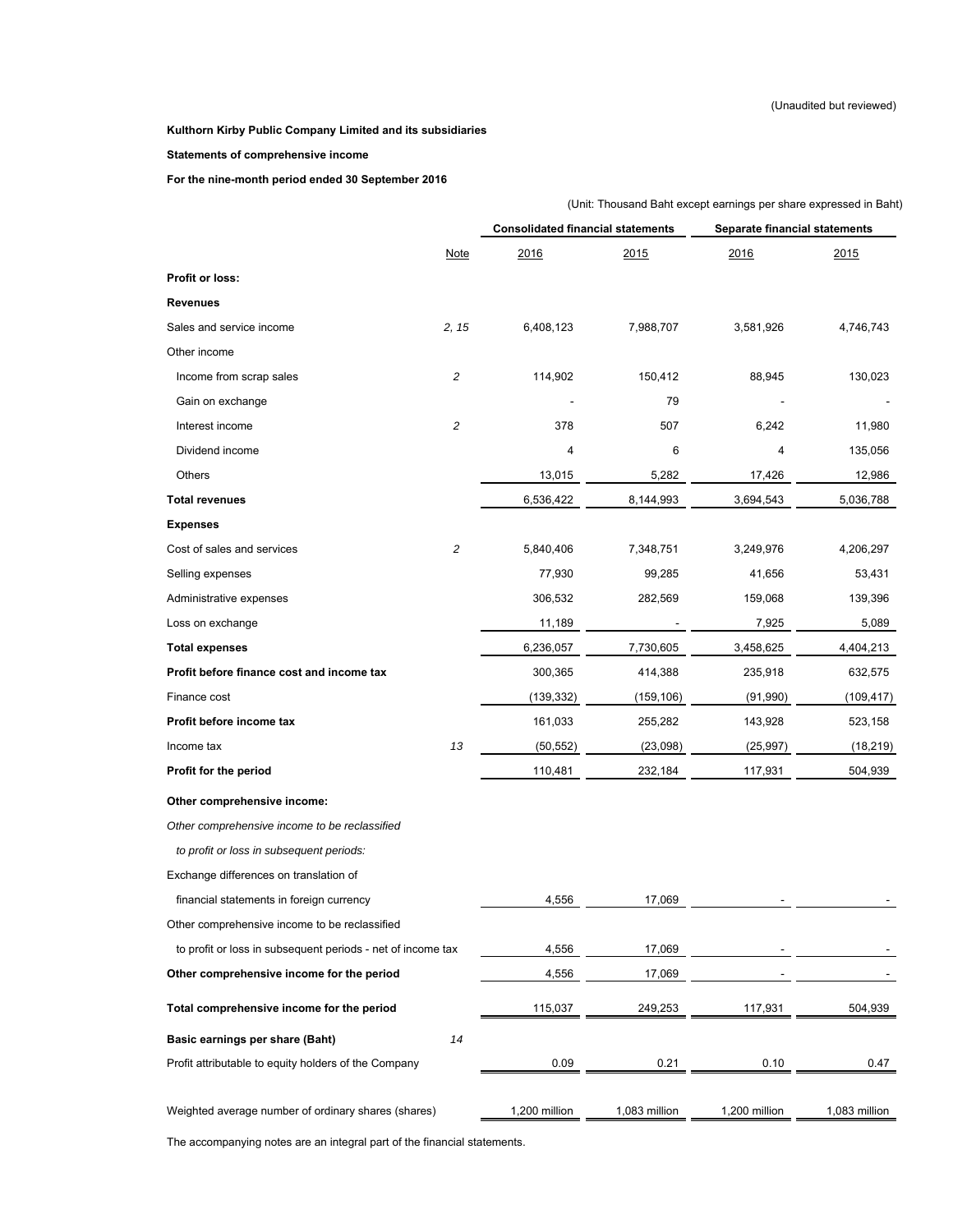### **Statements of comprehensive income**

**For the nine-month period ended 30 September 2016** 

|                                                             | (Unit: Thousand Baht except earnings per share expressed in Baht) |               |                               |               |  |  |
|-------------------------------------------------------------|-------------------------------------------------------------------|---------------|-------------------------------|---------------|--|--|
|                                                             | <b>Consolidated financial statements</b>                          |               | Separate financial statements |               |  |  |
| <b>Note</b>                                                 | 2016                                                              | 2015          | 2016                          | 2015          |  |  |
| Profit or loss:                                             |                                                                   |               |                               |               |  |  |
| <b>Revenues</b>                                             |                                                                   |               |                               |               |  |  |
| 2, 15<br>Sales and service income                           | 6,408,123                                                         | 7,988,707     | 3,581,926                     | 4,746,743     |  |  |
| Other income                                                |                                                                   |               |                               |               |  |  |
| 2<br>Income from scrap sales                                | 114,902                                                           | 150,412       | 88,945                        | 130,023       |  |  |
| Gain on exchange                                            |                                                                   | 79            |                               |               |  |  |
| $\overline{c}$<br>Interest income                           | 378                                                               | 507           | 6,242                         | 11,980        |  |  |
| Dividend income                                             | 4                                                                 | 6             | 4                             | 135,056       |  |  |
| Others                                                      | 13,015                                                            | 5,282         | 17,426                        | 12,986        |  |  |
| <b>Total revenues</b>                                       | 6,536,422                                                         | 8,144,993     | 3,694,543                     | 5,036,788     |  |  |
| <b>Expenses</b>                                             |                                                                   |               |                               |               |  |  |
| 2<br>Cost of sales and services                             | 5,840,406                                                         | 7,348,751     | 3,249,976                     | 4,206,297     |  |  |
| Selling expenses                                            | 77,930                                                            | 99,285        | 41,656                        | 53,431        |  |  |
| Administrative expenses                                     | 306,532                                                           | 282,569       | 159,068                       | 139,396       |  |  |
| Loss on exchange                                            | 11,189                                                            |               | 7,925                         | 5,089         |  |  |
| <b>Total expenses</b>                                       | 6,236,057                                                         | 7,730,605     | 3,458,625                     | 4,404,213     |  |  |
| Profit before finance cost and income tax                   | 300,365                                                           | 414,388       | 235,918                       | 632,575       |  |  |
| Finance cost                                                | (139, 332)                                                        | (159, 106)    | (91, 990)                     | (109, 417)    |  |  |
| Profit before income tax                                    | 161,033                                                           | 255,282       | 143,928                       | 523,158       |  |  |
| 13<br>Income tax                                            | (50, 552)                                                         | (23,098)      | (25, 997)                     | (18, 219)     |  |  |
| Profit for the period                                       | 110,481                                                           | 232,184       | 117,931                       | 504,939       |  |  |
| Other comprehensive income:                                 |                                                                   |               |                               |               |  |  |
| Other comprehensive income to be reclassified               |                                                                   |               |                               |               |  |  |
| to profit or loss in subsequent periods:                    |                                                                   |               |                               |               |  |  |
| Exchange differences on translation of                      |                                                                   |               |                               |               |  |  |
| financial statements in foreign currency                    | 4,556                                                             | 17,069        |                               |               |  |  |
| Other comprehensive income to be reclassified               |                                                                   |               |                               |               |  |  |
| to profit or loss in subsequent periods - net of income tax | 4,556                                                             | 17,069        |                               |               |  |  |
| Other comprehensive income for the period                   | 4,556                                                             | 17,069        |                               |               |  |  |
| Total comprehensive income for the period                   | 115,037                                                           | 249,253       | 117,931                       | 504,939       |  |  |
| 14<br>Basic earnings per share (Baht)                       |                                                                   |               |                               |               |  |  |
| Profit attributable to equity holders of the Company        | 0.09                                                              | 0.21          | 0.10                          | 0.47          |  |  |
| Weighted average number of ordinary shares (shares)         | 1,200 million                                                     | 1,083 million | 1,200 million                 | 1,083 million |  |  |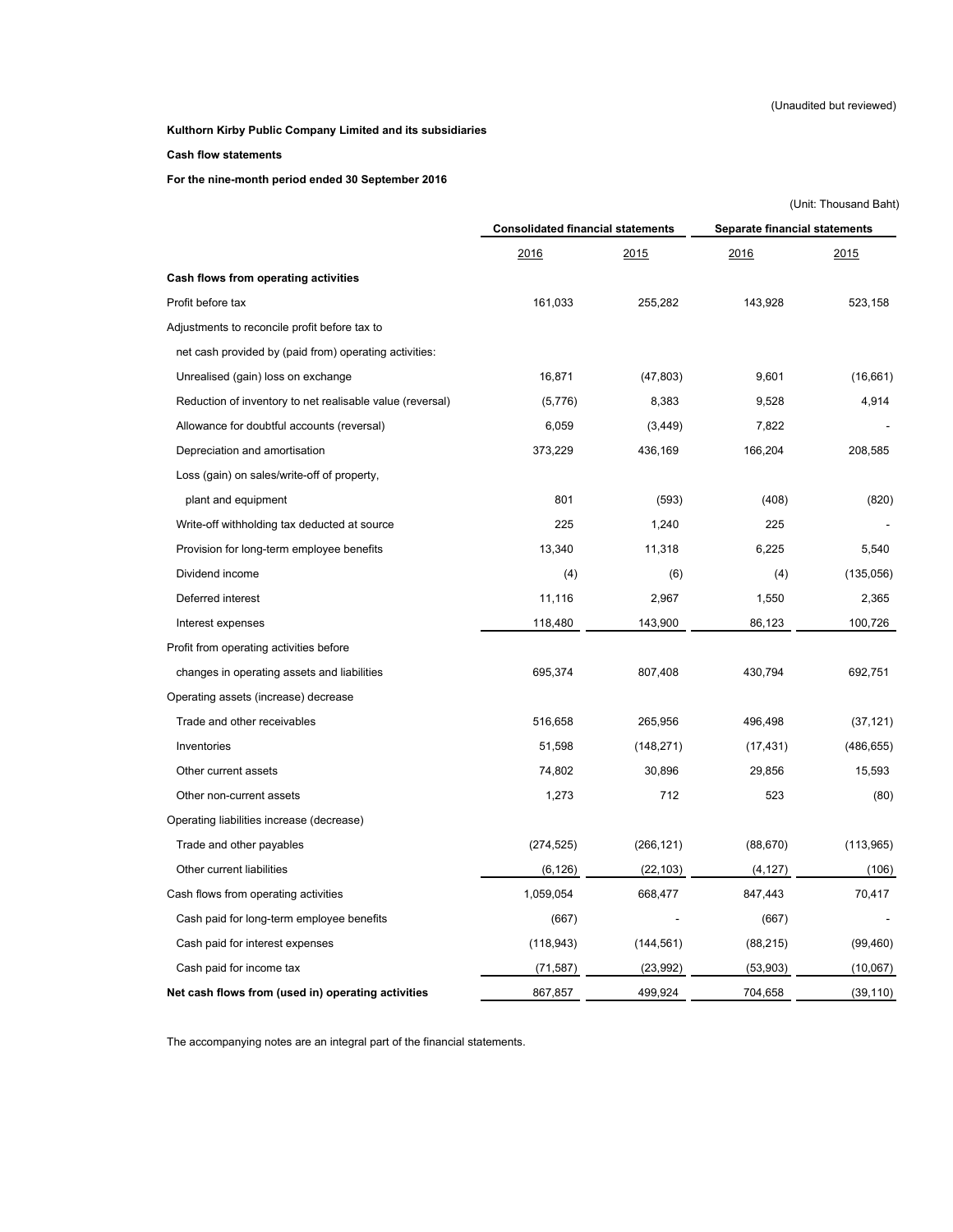### **Cash flow statements**

**For the nine-month period ended 30 September 2016** 

|                                                           |                                          |              |                               | (Unit: Thousand Baht) |  |
|-----------------------------------------------------------|------------------------------------------|--------------|-------------------------------|-----------------------|--|
|                                                           | <b>Consolidated financial statements</b> |              | Separate financial statements |                       |  |
|                                                           | 2016                                     | <u> 2015</u> | 2016                          | 2015                  |  |
| Cash flows from operating activities                      |                                          |              |                               |                       |  |
| Profit before tax                                         | 161,033                                  | 255,282      | 143,928                       | 523,158               |  |
| Adjustments to reconcile profit before tax to             |                                          |              |                               |                       |  |
| net cash provided by (paid from) operating activities:    |                                          |              |                               |                       |  |
| Unrealised (gain) loss on exchange                        | 16,871                                   | (47, 803)    | 9,601                         | (16,661)              |  |
| Reduction of inventory to net realisable value (reversal) | (5,776)                                  | 8,383        | 9,528                         | 4,914                 |  |
| Allowance for doubtful accounts (reversal)                | 6,059                                    | (3, 449)     | 7,822                         |                       |  |
| Depreciation and amortisation                             | 373,229                                  | 436,169      | 166,204                       | 208,585               |  |
| Loss (gain) on sales/write-off of property,               |                                          |              |                               |                       |  |
| plant and equipment                                       | 801                                      | (593)        | (408)                         | (820)                 |  |
| Write-off withholding tax deducted at source              | 225                                      | 1,240        | 225                           |                       |  |
| Provision for long-term employee benefits                 | 13,340                                   | 11,318       | 6,225                         | 5,540                 |  |
| Dividend income                                           | (4)                                      | (6)          | (4)                           | (135,056)             |  |
| Deferred interest                                         | 11,116                                   | 2,967        | 1,550                         | 2,365                 |  |
| Interest expenses                                         | 118,480                                  | 143,900      | 86,123                        | 100,726               |  |
| Profit from operating activities before                   |                                          |              |                               |                       |  |
| changes in operating assets and liabilities               | 695,374                                  | 807,408      | 430,794                       | 692,751               |  |
| Operating assets (increase) decrease                      |                                          |              |                               |                       |  |
| Trade and other receivables                               | 516,658                                  | 265,956      | 496,498                       | (37, 121)             |  |
| Inventories                                               | 51,598                                   | (148, 271)   | (17, 431)                     | (486, 655)            |  |
| Other current assets                                      | 74,802                                   | 30,896       | 29,856                        | 15,593                |  |
| Other non-current assets                                  | 1,273                                    | 712          | 523                           | (80)                  |  |
| Operating liabilities increase (decrease)                 |                                          |              |                               |                       |  |
| Trade and other payables                                  | (274, 525)                               | (266, 121)   | (88, 670)                     | (113,965)             |  |
| Other current liabilities                                 | (6, 126)                                 | (22, 103)    | (4, 127)                      | (106)                 |  |
| Cash flows from operating activities                      | 1,059,054                                | 668,477      | 847,443                       | 70,417                |  |
| Cash paid for long-term employee benefits                 | (667)                                    |              | (667)                         |                       |  |
| Cash paid for interest expenses                           | (118, 943)                               | (144, 561)   | (88, 215)                     | (99, 460)             |  |
| Cash paid for income tax                                  | (71, 587)                                | (23, 992)    | (53,903)                      | (10,067)              |  |
| Net cash flows from (used in) operating activities        | 867,857                                  | 499,924      | 704,658                       | (39, 110)             |  |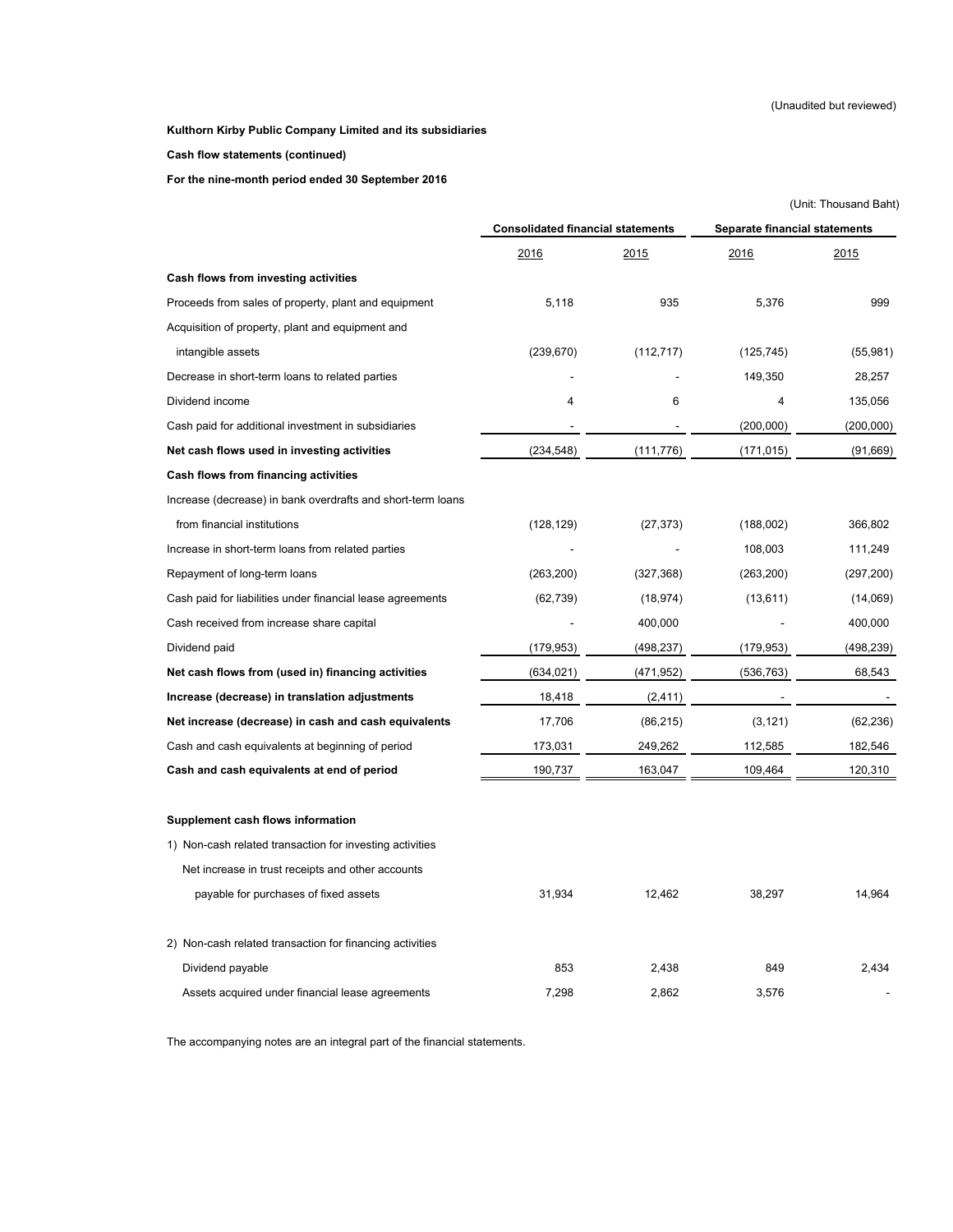**Cash flow statements (continued)**

**For the nine-month period ended 30 September 2016** 

|                                                             |                                          |            |                                      | (Unit: Thousand Baht) |
|-------------------------------------------------------------|------------------------------------------|------------|--------------------------------------|-----------------------|
|                                                             | <b>Consolidated financial statements</b> |            | <b>Separate financial statements</b> |                       |
|                                                             | 2016                                     | 2015       | 2016                                 | 2015                  |
| Cash flows from investing activities                        |                                          |            |                                      |                       |
| Proceeds from sales of property, plant and equipment        | 5,118                                    | 935        | 5,376                                | 999                   |
| Acquisition of property, plant and equipment and            |                                          |            |                                      |                       |
| intangible assets                                           | (239, 670)                               | (112, 717) | (125, 745)                           | (55,981)              |
| Decrease in short-term loans to related parties             |                                          |            | 149,350                              | 28,257                |
| Dividend income                                             | 4                                        | 6          | 4                                    | 135,056               |
| Cash paid for additional investment in subsidiaries         |                                          |            | (200,000)                            | (200,000)             |
| Net cash flows used in investing activities                 | (234, 548)                               | (111, 776) | (171, 015)                           | (91, 669)             |
| Cash flows from financing activities                        |                                          |            |                                      |                       |
| Increase (decrease) in bank overdrafts and short-term loans |                                          |            |                                      |                       |
| from financial institutions                                 | (128, 129)                               | (27, 373)  | (188,002)                            | 366,802               |
| Increase in short-term loans from related parties           |                                          |            | 108,003                              | 111,249               |
| Repayment of long-term loans                                | (263, 200)                               | (327, 368) | (263, 200)                           | (297, 200)            |
| Cash paid for liabilities under financial lease agreements  | (62, 739)                                | (18, 974)  | (13, 611)                            | (14,069)              |
| Cash received from increase share capital                   |                                          | 400,000    |                                      | 400,000               |
| Dividend paid                                               | (179, 953)                               | (498, 237) | (179, 953)                           | (498,239)             |
| Net cash flows from (used in) financing activities          | (634, 021)                               | (471, 952) | (536, 763)                           | 68,543                |
| Increase (decrease) in translation adjustments              | 18,418                                   | (2, 411)   |                                      |                       |
| Net increase (decrease) in cash and cash equivalents        | 17,706                                   | (86, 215)  | (3, 121)                             | (62, 236)             |
| Cash and cash equivalents at beginning of period            | 173,031                                  | 249,262    | 112,585                              | 182,546               |
| Cash and cash equivalents at end of period                  | 190,737                                  | 163,047    | 109,464                              | 120,310               |
| Supplement cash flows information                           |                                          |            |                                      |                       |
| 1) Non-cash related transaction for investing activities    |                                          |            |                                      |                       |
| Net increase in trust receipts and other accounts           |                                          |            |                                      |                       |
| payable for purchases of fixed assets                       | 31,934                                   | 12,462     | 38,297                               | 14,964                |
| 2) Non-cash related transaction for financing activities    |                                          |            |                                      |                       |
| Dividend payable                                            | 853                                      | 2.438      | 849                                  | 2.434                 |

Assets acquired under financial lease agreements **7,298** 2,862 3,576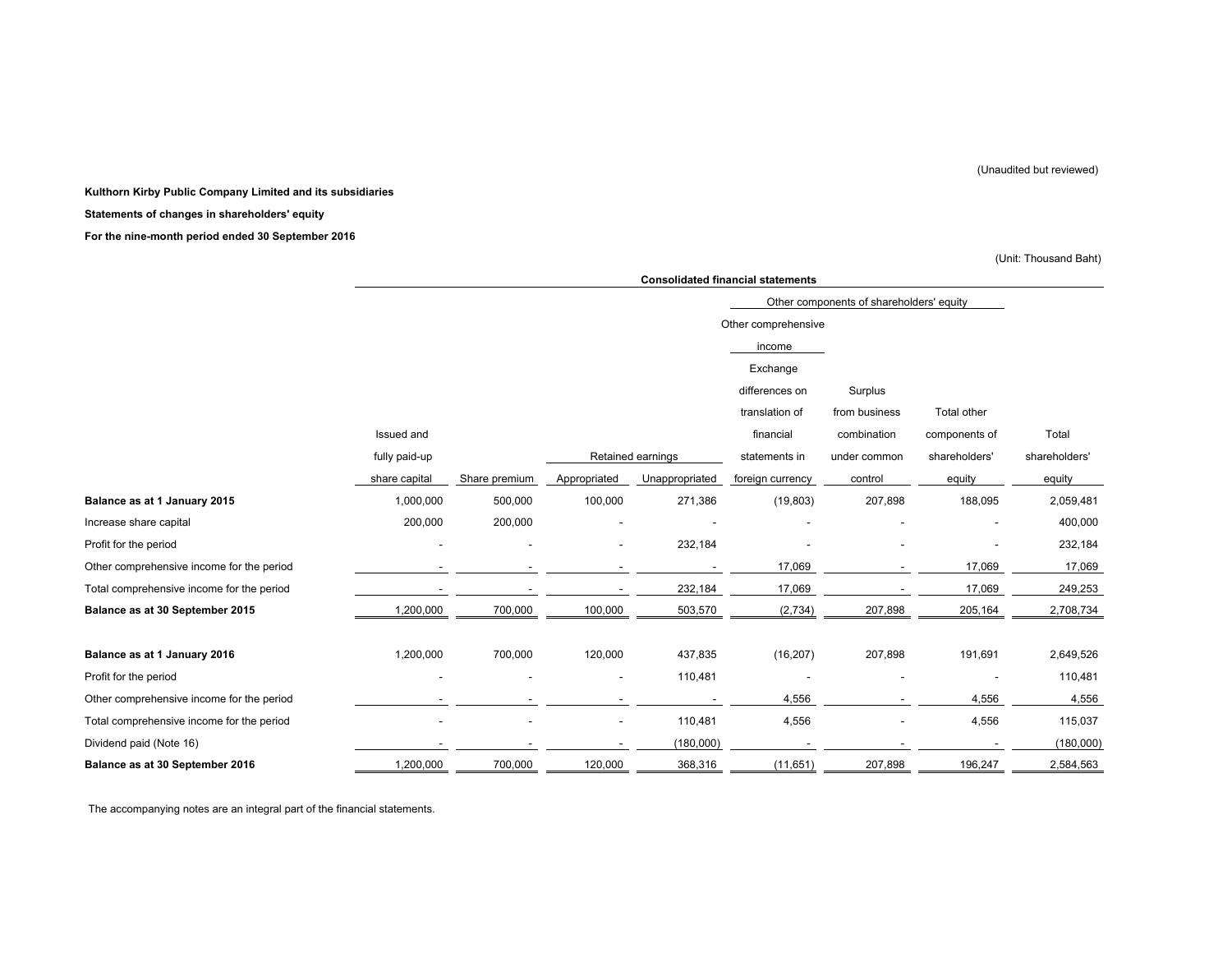#### **Kulthorn Kirby Public Company Limited and its subsidiaries**

#### **Statements of changes in shareholders' equity**

**For the nine-month period ended 30 September 2016** 

(Unit: Thousand Baht)

|                                           | <b>Consolidated financial statements</b> |               |                          |                   |                     |                                          |               |               |  |
|-------------------------------------------|------------------------------------------|---------------|--------------------------|-------------------|---------------------|------------------------------------------|---------------|---------------|--|
|                                           |                                          |               |                          |                   |                     | Other components of shareholders' equity |               |               |  |
|                                           |                                          |               |                          |                   | Other comprehensive |                                          |               |               |  |
|                                           |                                          |               |                          |                   | income              |                                          |               |               |  |
|                                           |                                          |               |                          |                   | Exchange            |                                          |               |               |  |
|                                           |                                          |               |                          |                   | differences on      | Surplus                                  |               |               |  |
|                                           |                                          |               |                          |                   | translation of      | from business                            | Total other   |               |  |
|                                           | Issued and                               |               |                          |                   | financial           | combination                              | components of | Total         |  |
|                                           | fully paid-up                            |               |                          | Retained earnings | statements in       | under common                             | shareholders' | shareholders' |  |
|                                           | share capital                            | Share premium | Appropriated             | Unappropriated    | foreign currency    | control                                  | equity        | equity        |  |
| Balance as at 1 January 2015              | 1,000,000                                | 500,000       | 100,000                  | 271,386           | (19, 803)           | 207,898                                  | 188,095       | 2,059,481     |  |
| Increase share capital                    | 200,000                                  | 200,000       |                          |                   |                     |                                          |               | 400,000       |  |
| Profit for the period                     |                                          |               |                          | 232,184           |                     |                                          |               | 232,184       |  |
| Other comprehensive income for the period |                                          |               |                          |                   | 17,069              |                                          | 17,069        | 17,069        |  |
| Total comprehensive income for the period |                                          |               |                          | 232,184           | 17,069              |                                          | 17,069        | 249,253       |  |
| Balance as at 30 September 2015           | 1,200,000                                | 700,000       | 100,000                  | 503,570           | (2,734)             | 207,898                                  | 205,164       | 2,708,734     |  |
| Balance as at 1 January 2016              | 1,200,000                                | 700,000       | 120,000                  | 437,835           | (16, 207)           | 207,898                                  | 191,691       | 2,649,526     |  |
| Profit for the period                     |                                          |               |                          | 110,481           |                     |                                          |               | 110,481       |  |
| Other comprehensive income for the period |                                          |               |                          |                   | 4,556               |                                          | 4,556         | 4,556         |  |
| Total comprehensive income for the period |                                          |               | $\overline{\phantom{a}}$ | 110,481           | 4,556               |                                          | 4,556         | 115,037       |  |
| Dividend paid (Note 16)                   |                                          |               |                          | (180,000)         |                     |                                          |               | (180,000)     |  |
| Balance as at 30 September 2016           | 1,200,000                                | 700,000       | 120,000                  | 368,316           | (11, 651)           | 207,898                                  | 196,247       | 2,584,563     |  |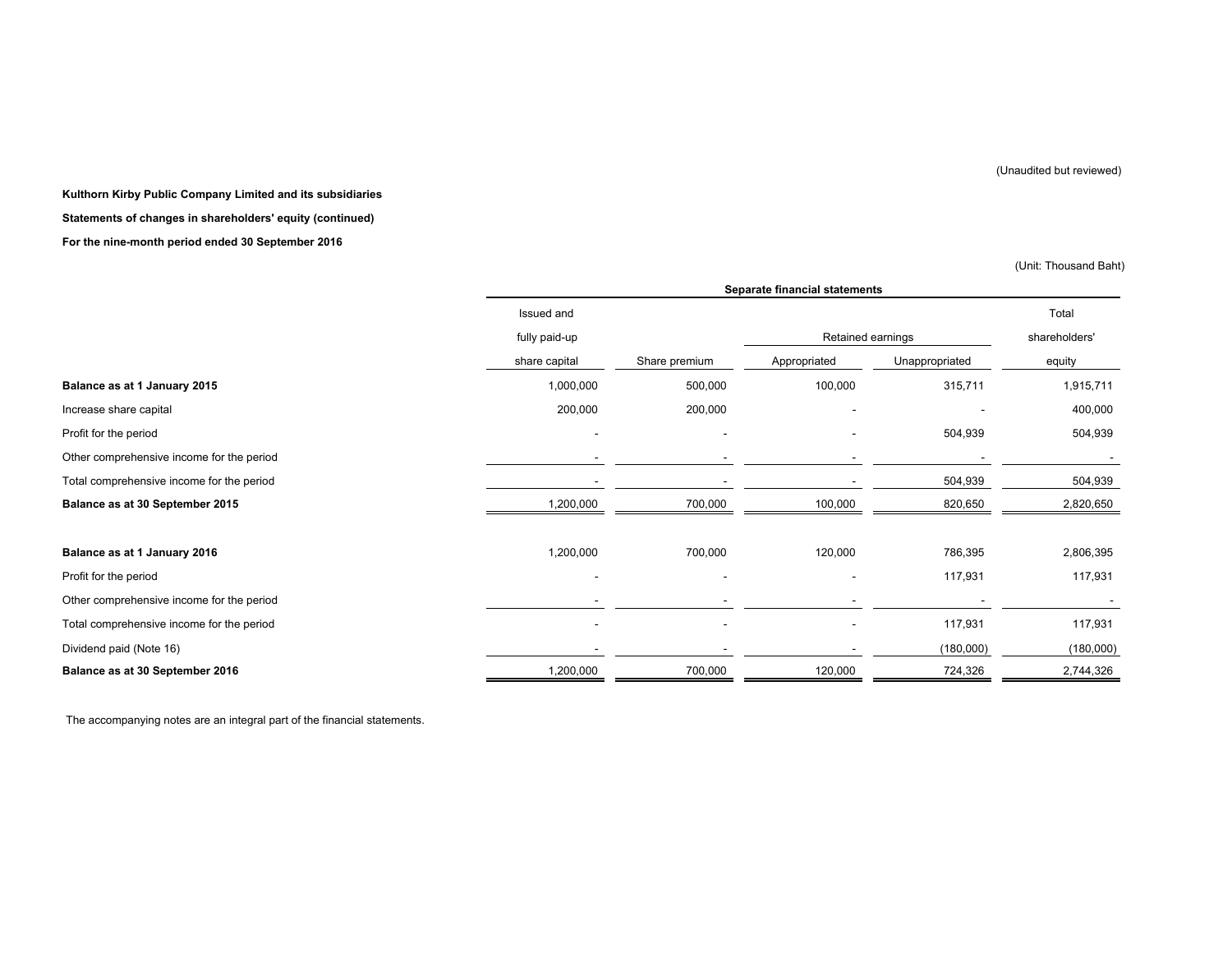#### **Kulthorn Kirby Public Company Limited and its subsidiaries**

**Statements of changes in shareholders' equity (continued)**

#### **For the nine-month period ended 30 September 2016**

(Unit: Thousand Baht)

|                                           | Separate financial statements |                          |                   |                |               |  |  |
|-------------------------------------------|-------------------------------|--------------------------|-------------------|----------------|---------------|--|--|
|                                           | Issued and                    |                          |                   |                | Total         |  |  |
|                                           | fully paid-up                 |                          | Retained earnings |                | shareholders' |  |  |
|                                           | share capital                 | Share premium            | Appropriated      | Unappropriated | equity        |  |  |
| Balance as at 1 January 2015              | 1,000,000                     | 500,000                  | 100,000           | 315,711        | 1,915,711     |  |  |
| Increase share capital                    | 200,000                       | 200,000                  |                   |                | 400,000       |  |  |
| Profit for the period                     |                               | $\overline{\phantom{a}}$ |                   | 504,939        | 504,939       |  |  |
| Other comprehensive income for the period |                               |                          |                   |                |               |  |  |
| Total comprehensive income for the period |                               |                          |                   | 504,939        | 504,939       |  |  |
| Balance as at 30 September 2015           | 1,200,000                     | 700,000                  | 100,000           | 820,650        | 2,820,650     |  |  |
|                                           |                               |                          |                   |                |               |  |  |
| Balance as at 1 January 2016              | 1,200,000                     | 700,000                  | 120,000           | 786,395        | 2,806,395     |  |  |
| Profit for the period                     |                               |                          |                   | 117,931        | 117,931       |  |  |
| Other comprehensive income for the period |                               |                          | ۰                 |                |               |  |  |
| Total comprehensive income for the period |                               | ۰                        | ۰                 | 117,931        | 117,931       |  |  |
| Dividend paid (Note 16)                   |                               |                          |                   | (180,000)      | (180,000)     |  |  |
| Balance as at 30 September 2016           | 1,200,000                     | 700,000                  | 120,000           | 724,326        | 2,744,326     |  |  |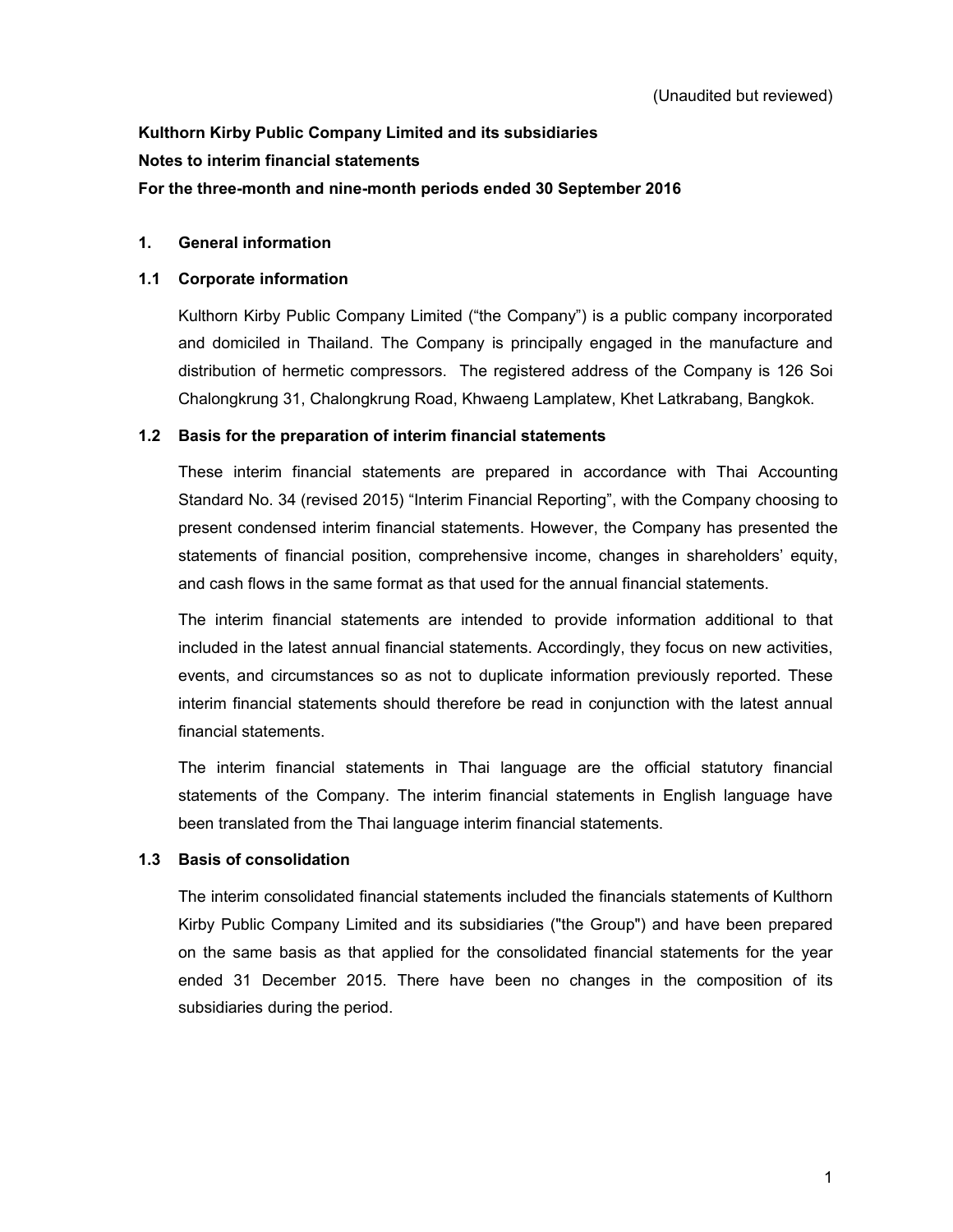# **Kulthorn Kirby Public Company Limited and its subsidiaries Notes to interim financial statements For the three-month and nine-month periods ended 30 September 2016**

### **1. General information**

### **1.1 Corporate information**

Kulthorn Kirby Public Company Limited ("the Company") is a public company incorporated and domiciled in Thailand. The Company is principally engaged in the manufacture and distribution of hermetic compressors. The registered address of the Company is 126 Soi Chalongkrung 31, Chalongkrung Road, Khwaeng Lamplatew, Khet Latkrabang, Bangkok.

### **1.2 Basis for the preparation of interim financial statements**

 These interim financial statements are prepared in accordance with Thai Accounting Standard No. 34 (revised 2015) "Interim Financial Reporting", with the Company choosing to present condensed interim financial statements. However, the Company has presented the statements of financial position, comprehensive income, changes in shareholders' equity, and cash flows in the same format as that used for the annual financial statements.

The interim financial statements are intended to provide information additional to that included in the latest annual financial statements. Accordingly, they focus on new activities, events, and circumstances so as not to duplicate information previously reported. These interim financial statements should therefore be read in conjunction with the latest annual financial statements.

The interim financial statements in Thai language are the official statutory financial statements of the Company. The interim financial statements in English language have been translated from the Thai language interim financial statements.

### **1.3 Basis of consolidation**

 The interim consolidated financial statements included the financials statements of Kulthorn Kirby Public Company Limited and its subsidiaries ("the Group") and have been prepared on the same basis as that applied for the consolidated financial statements for the year ended 31 December 2015. There have been no changes in the composition of its subsidiaries during the period.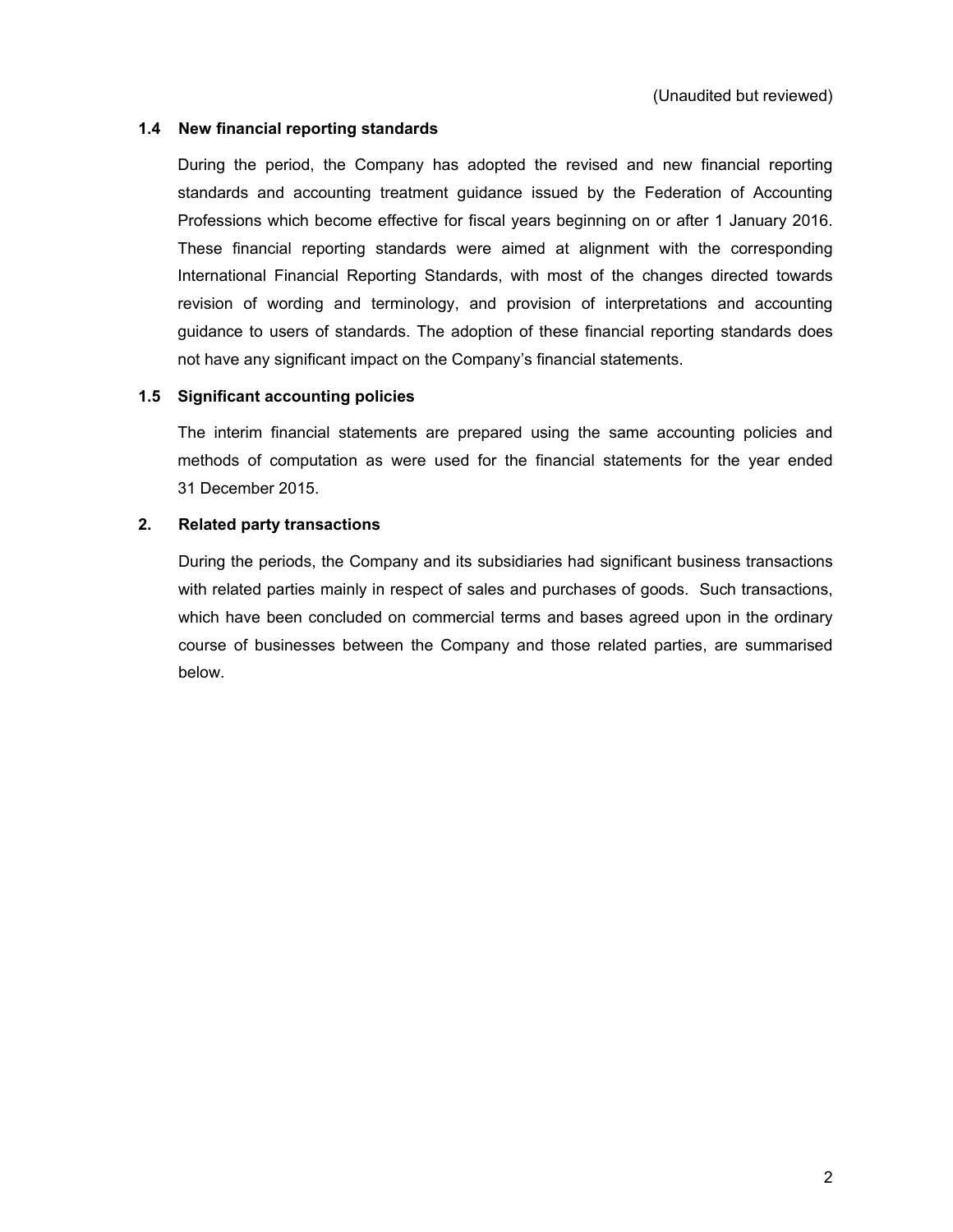### **1.4 New financial reporting standards**

 During the period, the Company has adopted the revised and new financial reporting standards and accounting treatment guidance issued by the Federation of Accounting Professions which become effective for fiscal years beginning on or after 1 January 2016. These financial reporting standards were aimed at alignment with the corresponding International Financial Reporting Standards, with most of the changes directed towards revision of wording and terminology, and provision of interpretations and accounting guidance to users of standards. The adoption of these financial reporting standards does not have any significant impact on the Company's financial statements.

### **1.5 Significant accounting policies**

 The interim financial statements are prepared using the same accounting policies and methods of computation as were used for the financial statements for the year ended 31 December 2015.

### **2. Related party transactions**

 During the periods, the Company and its subsidiaries had significant business transactions with related parties mainly in respect of sales and purchases of goods. Such transactions, which have been concluded on commercial terms and bases agreed upon in the ordinary course of businesses between the Company and those related parties, are summarised below.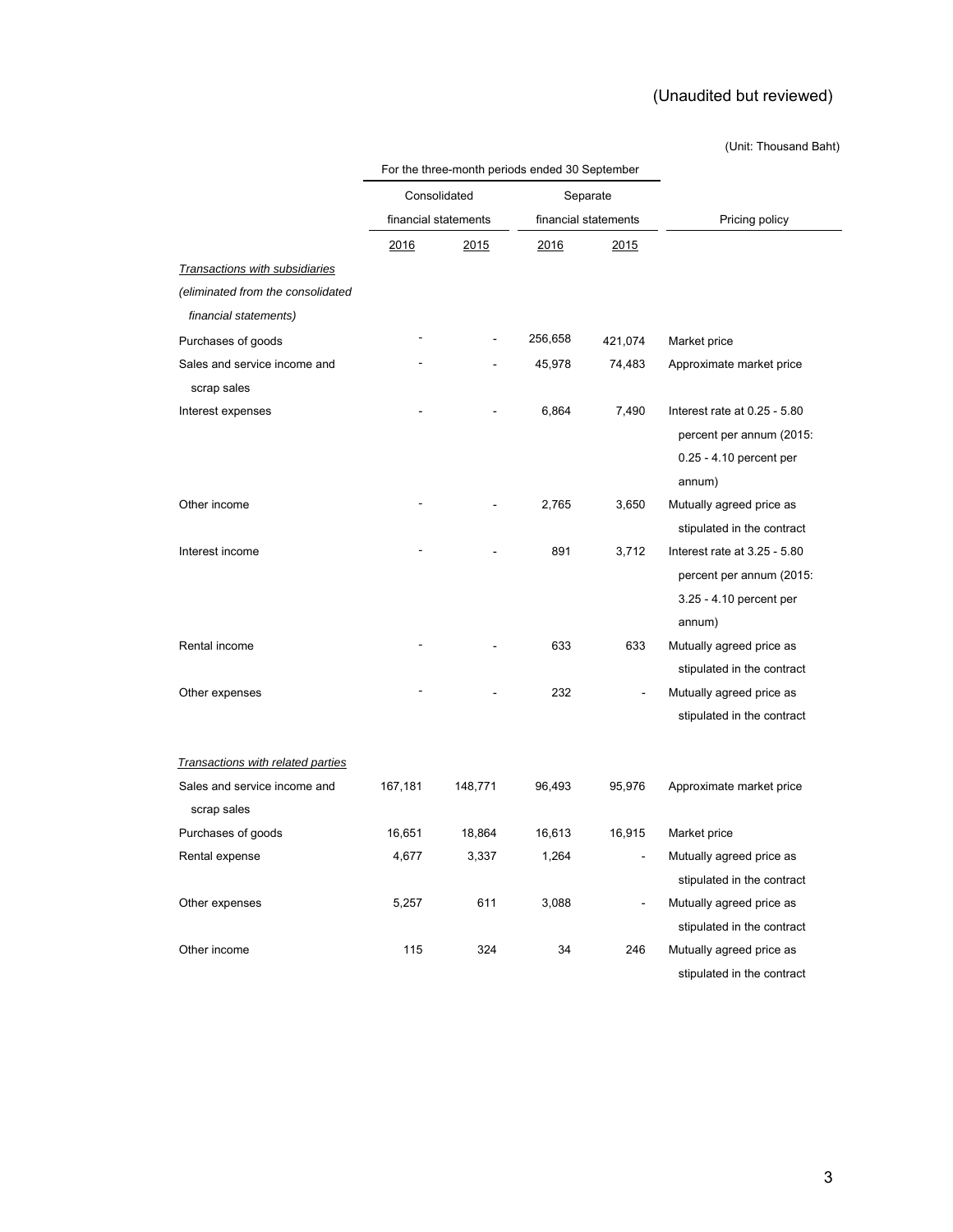### (Unit: Thousand Baht)

|                                   |         | Consolidated         | Separate<br>financial statements |         | Pricing policy               |  |
|-----------------------------------|---------|----------------------|----------------------------------|---------|------------------------------|--|
|                                   |         | financial statements |                                  |         |                              |  |
|                                   | 2016    | 2015                 | 2016                             | 2015    |                              |  |
| Transactions with subsidiaries    |         |                      |                                  |         |                              |  |
| (eliminated from the consolidated |         |                      |                                  |         |                              |  |
| financial statements)             |         |                      |                                  |         |                              |  |
| Purchases of goods                |         |                      | 256,658                          | 421,074 | Market price                 |  |
| Sales and service income and      |         |                      | 45,978                           | 74,483  | Approximate market price     |  |
| scrap sales                       |         |                      |                                  |         |                              |  |
| Interest expenses                 |         |                      | 6,864                            | 7,490   | Interest rate at 0.25 - 5.80 |  |
|                                   |         |                      |                                  |         | percent per annum (2015:     |  |
|                                   |         |                      |                                  |         | 0.25 - 4.10 percent per      |  |
|                                   |         |                      |                                  |         | annum)                       |  |
| Other income                      |         |                      | 2,765                            | 3,650   | Mutually agreed price as     |  |
|                                   |         |                      |                                  |         | stipulated in the contract   |  |
| Interest income                   |         |                      | 891                              | 3,712   | Interest rate at 3.25 - 5.80 |  |
|                                   |         |                      |                                  |         | percent per annum (2015:     |  |
|                                   |         |                      |                                  |         | 3.25 - 4.10 percent per      |  |
|                                   |         |                      |                                  |         | annum)                       |  |
| Rental income                     |         |                      | 633                              | 633     | Mutually agreed price as     |  |
|                                   |         |                      |                                  |         | stipulated in the contract   |  |
| Other expenses                    |         |                      | 232                              |         | Mutually agreed price as     |  |
|                                   |         |                      |                                  |         | stipulated in the contract   |  |
| Transactions with related parties |         |                      |                                  |         |                              |  |
| Sales and service income and      | 167,181 | 148,771              | 96,493                           | 95,976  | Approximate market price     |  |
| scrap sales                       |         |                      |                                  |         |                              |  |
| Purchases of goods                | 16,651  | 18,864               | 16,613                           | 16,915  | Market price                 |  |
| Rental expense                    | 4,677   | 3,337                | 1,264                            |         | Mutually agreed price as     |  |
|                                   |         |                      |                                  |         | stipulated in the contract   |  |
| Other expenses                    | 5,257   | 611                  | 3,088                            |         | Mutually agreed price as     |  |
|                                   |         |                      |                                  |         | stipulated in the contract   |  |
| Other income                      | 115     | 324                  | 34                               | 246     | Mutually agreed price as     |  |
|                                   |         |                      |                                  |         | stipulated in the contract   |  |

For the three-month periods ended 30 September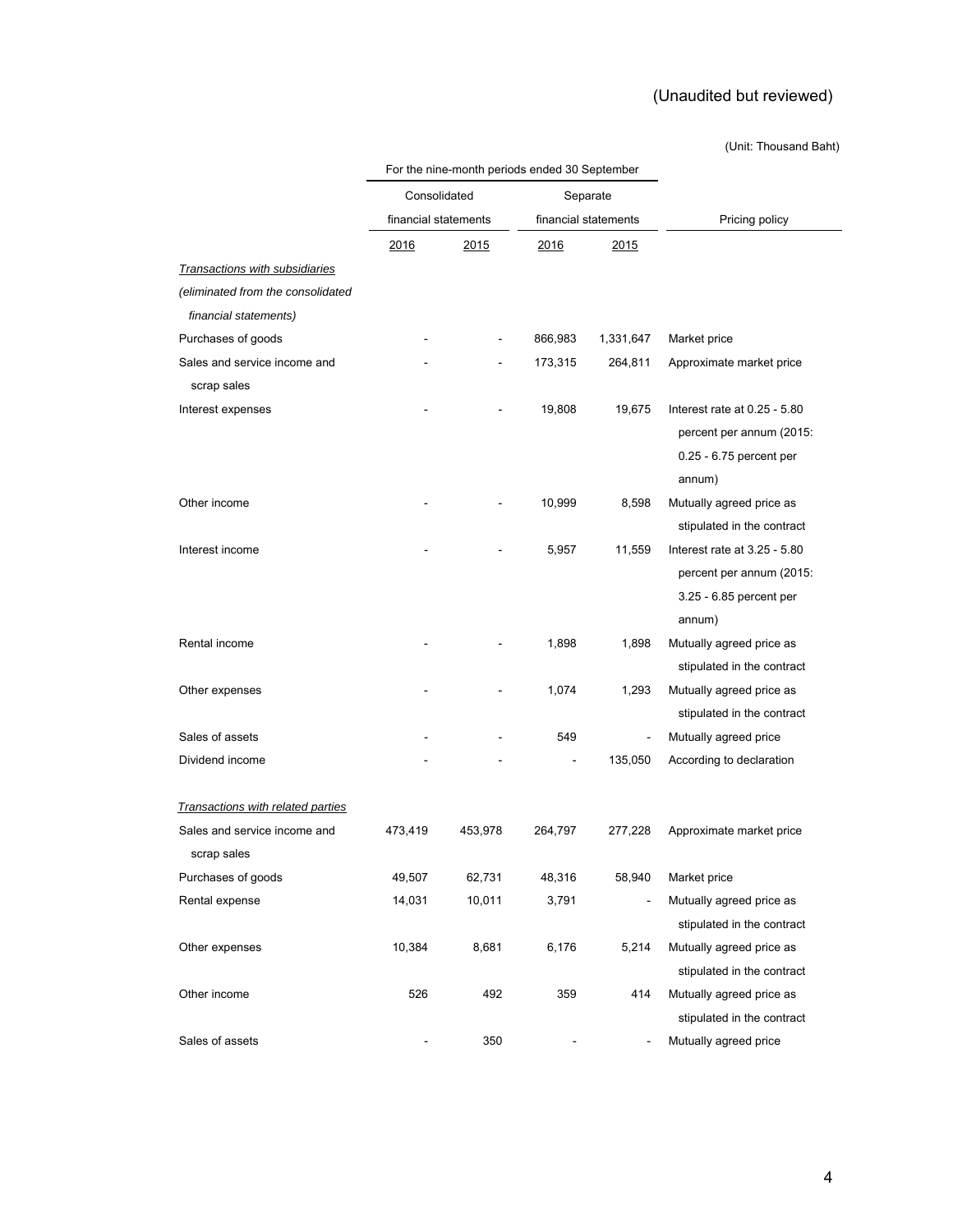### (Unit: Thousand Baht)

|                                   |                      | or the rime month, poncad dirada de deptember |              |                      |                                   |  |
|-----------------------------------|----------------------|-----------------------------------------------|--------------|----------------------|-----------------------------------|--|
|                                   | Consolidated         |                                               |              | Separate             |                                   |  |
|                                   | financial statements |                                               |              | financial statements | Pricing policy                    |  |
|                                   | <u> 2016</u>         | <u>2015</u>                                   | <u> 2016</u> | 2015                 |                                   |  |
| Transactions with subsidiaries    |                      |                                               |              |                      |                                   |  |
| (eliminated from the consolidated |                      |                                               |              |                      |                                   |  |
| financial statements)             |                      |                                               |              |                      |                                   |  |
| Purchases of goods                |                      |                                               | 866,983      | 1,331,647            | Market price                      |  |
| Sales and service income and      |                      |                                               | 173,315      | 264,811              | Approximate market price          |  |
| scrap sales                       |                      |                                               |              |                      |                                   |  |
| Interest expenses                 |                      |                                               | 19,808       | 19,675               | Interest rate at 0.25 - 5.80      |  |
|                                   |                      |                                               |              |                      | percent per annum (2015:          |  |
|                                   |                      |                                               |              |                      | 0.25 - 6.75 percent per<br>annum) |  |
| Other income                      |                      |                                               | 10,999       | 8,598                | Mutually agreed price as          |  |
|                                   |                      |                                               |              |                      | stipulated in the contract        |  |
| Interest income                   |                      |                                               | 5,957        | 11,559               | Interest rate at 3.25 - 5.80      |  |
|                                   |                      |                                               |              |                      | percent per annum (2015:          |  |
|                                   |                      |                                               |              |                      | 3.25 - 6.85 percent per           |  |
|                                   |                      |                                               |              |                      | annum)                            |  |
| Rental income                     |                      |                                               | 1,898        | 1,898                | Mutually agreed price as          |  |
|                                   |                      |                                               |              |                      | stipulated in the contract        |  |
| Other expenses                    |                      |                                               | 1,074        | 1,293                | Mutually agreed price as          |  |
|                                   |                      |                                               |              |                      | stipulated in the contract        |  |
| Sales of assets                   |                      |                                               | 549          | ÷,                   | Mutually agreed price             |  |
| Dividend income                   |                      |                                               |              | 135,050              | According to declaration          |  |
|                                   |                      |                                               |              |                      |                                   |  |
| Transactions with related parties |                      |                                               |              |                      |                                   |  |
| Sales and service income and      | 473,419              | 453,978                                       | 264,797      | 277,228              | Approximate market price          |  |
| scrap sales                       |                      |                                               |              |                      |                                   |  |
| Purchases of goods                | 49,507               | 62,731                                        | 48,316       | 58,940               | Market price                      |  |
| Rental expense                    | 14,031               | 10,011                                        | 3,791        |                      | Mutually agreed price as          |  |
|                                   |                      |                                               |              |                      | stipulated in the contract        |  |
| Other expenses                    | 10,384               | 8,681                                         | 6,176        | 5,214                | Mutually agreed price as          |  |
|                                   |                      |                                               |              |                      | stipulated in the contract        |  |
| Other income                      | 526                  | 492                                           | 359          | 414                  | Mutually agreed price as          |  |
|                                   |                      |                                               |              |                      | stipulated in the contract        |  |
| Sales of assets                   |                      | 350                                           |              |                      | Mutually agreed price             |  |

For the nine-month periods ended 30 September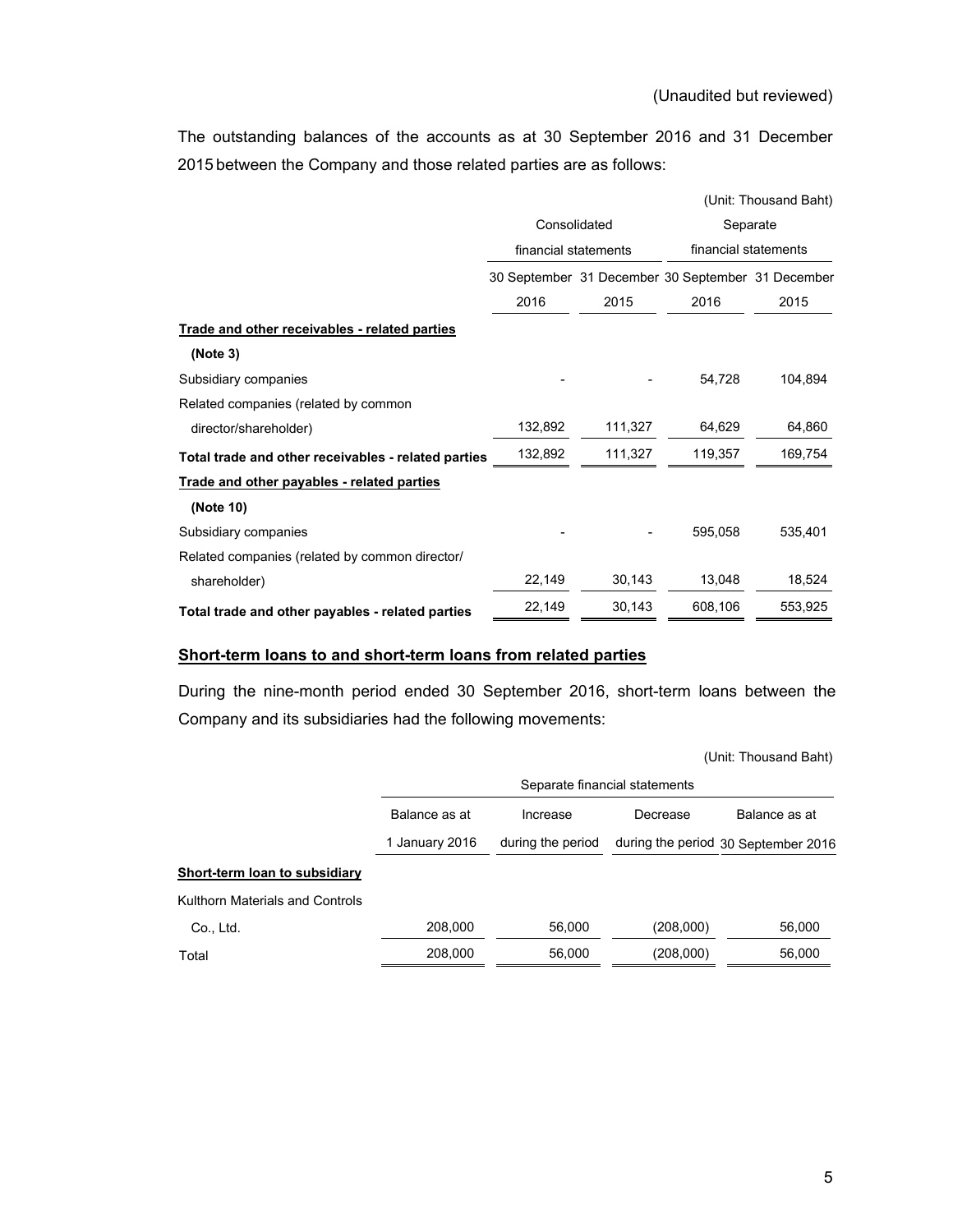The outstanding balances of the accounts as at 30 September 2016 and 31 December 2015 between the Company and those related parties are as follows:

|                                                     |                      |         |                                                   | (Unit: Thousand Baht) |  |  |
|-----------------------------------------------------|----------------------|---------|---------------------------------------------------|-----------------------|--|--|
|                                                     | Consolidated         |         |                                                   | Separate              |  |  |
|                                                     | financial statements |         |                                                   | financial statements  |  |  |
|                                                     |                      |         | 30 September 31 December 30 September 31 December |                       |  |  |
|                                                     | 2016                 | 2015    | 2016                                              | 2015                  |  |  |
| Trade and other receivables - related parties       |                      |         |                                                   |                       |  |  |
| (Note 3)                                            |                      |         |                                                   |                       |  |  |
| Subsidiary companies                                |                      |         | 54,728                                            | 104,894               |  |  |
| Related companies (related by common                |                      |         |                                                   |                       |  |  |
| director/shareholder)                               | 132,892              | 111,327 | 64,629                                            | 64,860                |  |  |
| Total trade and other receivables - related parties | 132,892              | 111,327 | 119,357                                           | 169,754               |  |  |
| Trade and other payables - related parties          |                      |         |                                                   |                       |  |  |
| (Note 10)                                           |                      |         |                                                   |                       |  |  |
| Subsidiary companies                                |                      |         | 595,058                                           | 535,401               |  |  |
| Related companies (related by common director/      |                      |         |                                                   |                       |  |  |
| shareholder)                                        | 22,149               | 30,143  | 13,048                                            | 18,524                |  |  |
| Total trade and other payables - related parties    | 22,149               | 30,143  | 608,106                                           | 553,925               |  |  |

### **Short-term loans to and short-term loans from related parties**

During the nine-month period ended 30 September 2016, short-term loans between the Company and its subsidiaries had the following movements:

|  | (Unit: Thousand Baht) |  |
|--|-----------------------|--|
|--|-----------------------|--|

| Separate financial statements                          |                   |           |                                     |  |  |
|--------------------------------------------------------|-------------------|-----------|-------------------------------------|--|--|
| Balance as at<br>Balance as at<br>Decrease<br>Increase |                   |           |                                     |  |  |
| 1 January 2016                                         | during the period |           | during the period 30 September 2016 |  |  |
|                                                        |                   |           |                                     |  |  |
|                                                        |                   |           |                                     |  |  |
| 208,000                                                | 56,000            | (208,000) | 56,000                              |  |  |
| 208,000                                                | 56,000            | (208,000) | 56,000                              |  |  |
|                                                        |                   |           |                                     |  |  |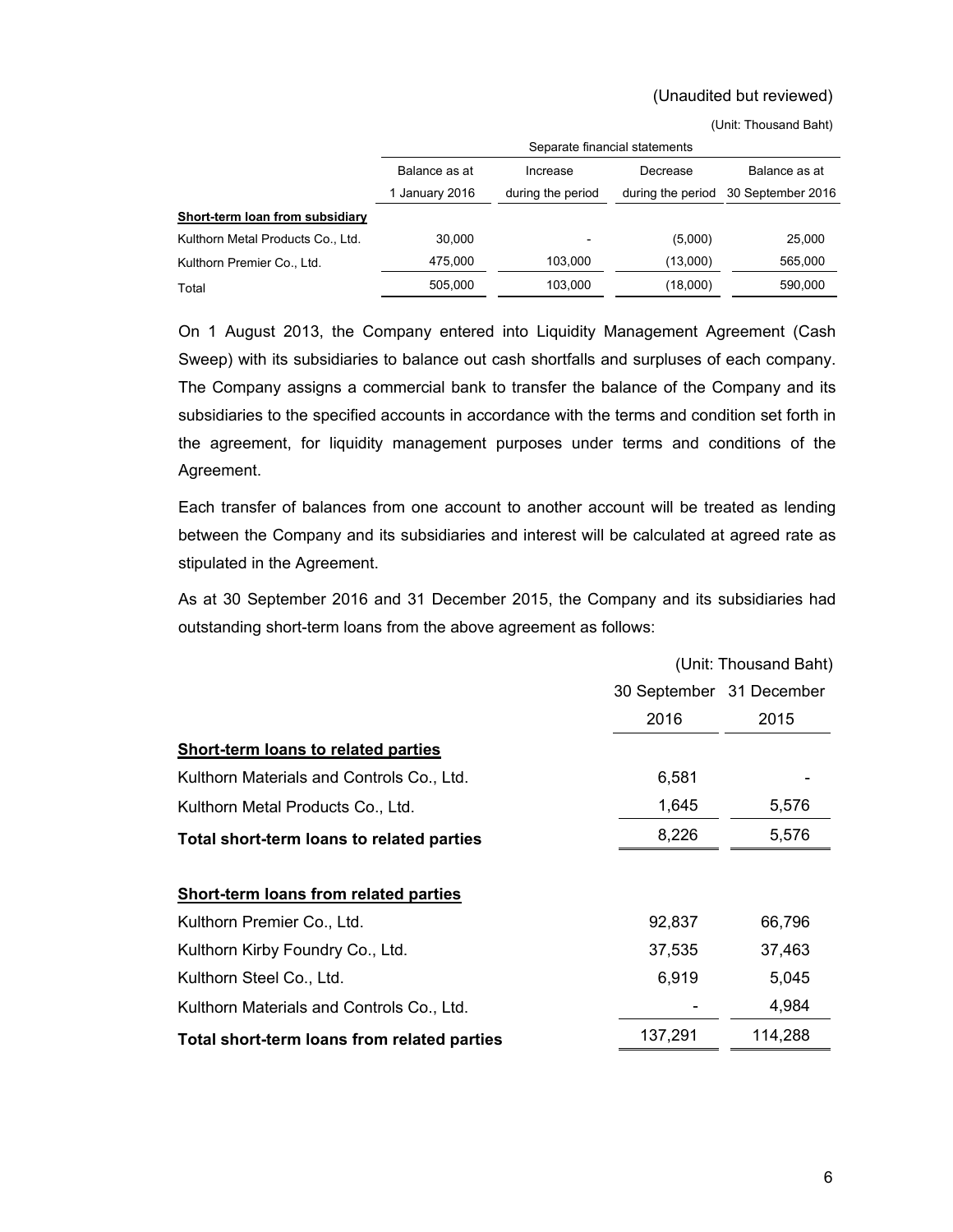|                                   | Separate financial statements   |                               |                               |                                    |  |
|-----------------------------------|---------------------------------|-------------------------------|-------------------------------|------------------------------------|--|
|                                   | Balance as at<br>1 January 2016 | Increase<br>during the period | Decrease<br>during the period | Balance as at<br>30 September 2016 |  |
| Short-term loan from subsidiary   |                                 |                               |                               |                                    |  |
| Kulthorn Metal Products Co., Ltd. | 30.000                          | $\overline{\phantom{a}}$      | (5,000)                       | 25,000                             |  |
| Kulthorn Premier Co., Ltd.        | 475.000                         | 103.000                       | (13,000)                      | 565,000                            |  |
| Total                             | 505.000                         | 103.000                       | (18,000)                      | 590,000                            |  |

(Unit: Thousand Baht)

 On 1 August 2013, the Company entered into Liquidity Management Agreement (Cash Sweep) with its subsidiaries to balance out cash shortfalls and surpluses of each company. The Company assigns a commercial bank to transfer the balance of the Company and its subsidiaries to the specified accounts in accordance with the terms and condition set forth in the agreement, for liquidity management purposes under terms and conditions of the Agreement.

 Each transfer of balances from one account to another account will be treated as lending between the Company and its subsidiaries and interest will be calculated at agreed rate as stipulated in the Agreement.

 As at 30 September 2016 and 31 December 2015, the Company and its subsidiaries had outstanding short-term loans from the above agreement as follows:

|                                              | (Unit: Thousand Baht)    |         |  |
|----------------------------------------------|--------------------------|---------|--|
|                                              | 30 September 31 December |         |  |
|                                              | 2016                     | 2015    |  |
| <b>Short-term loans to related parties</b>   |                          |         |  |
| Kulthorn Materials and Controls Co., Ltd.    | 6,581                    |         |  |
| Kulthorn Metal Products Co., Ltd.            | 1,645                    | 5,576   |  |
| Total short-term loans to related parties    | 8,226                    | 5,576   |  |
|                                              |                          |         |  |
| <b>Short-term loans from related parties</b> |                          |         |  |
| Kulthorn Premier Co., Ltd.                   | 92,837                   | 66,796  |  |
| Kulthorn Kirby Foundry Co., Ltd.             | 37,535                   | 37,463  |  |
| Kulthorn Steel Co., Ltd.                     | 6,919                    | 5,045   |  |
| Kulthorn Materials and Controls Co., Ltd.    |                          | 4,984   |  |
| Total short-term loans from related parties  | 137,291                  | 114,288 |  |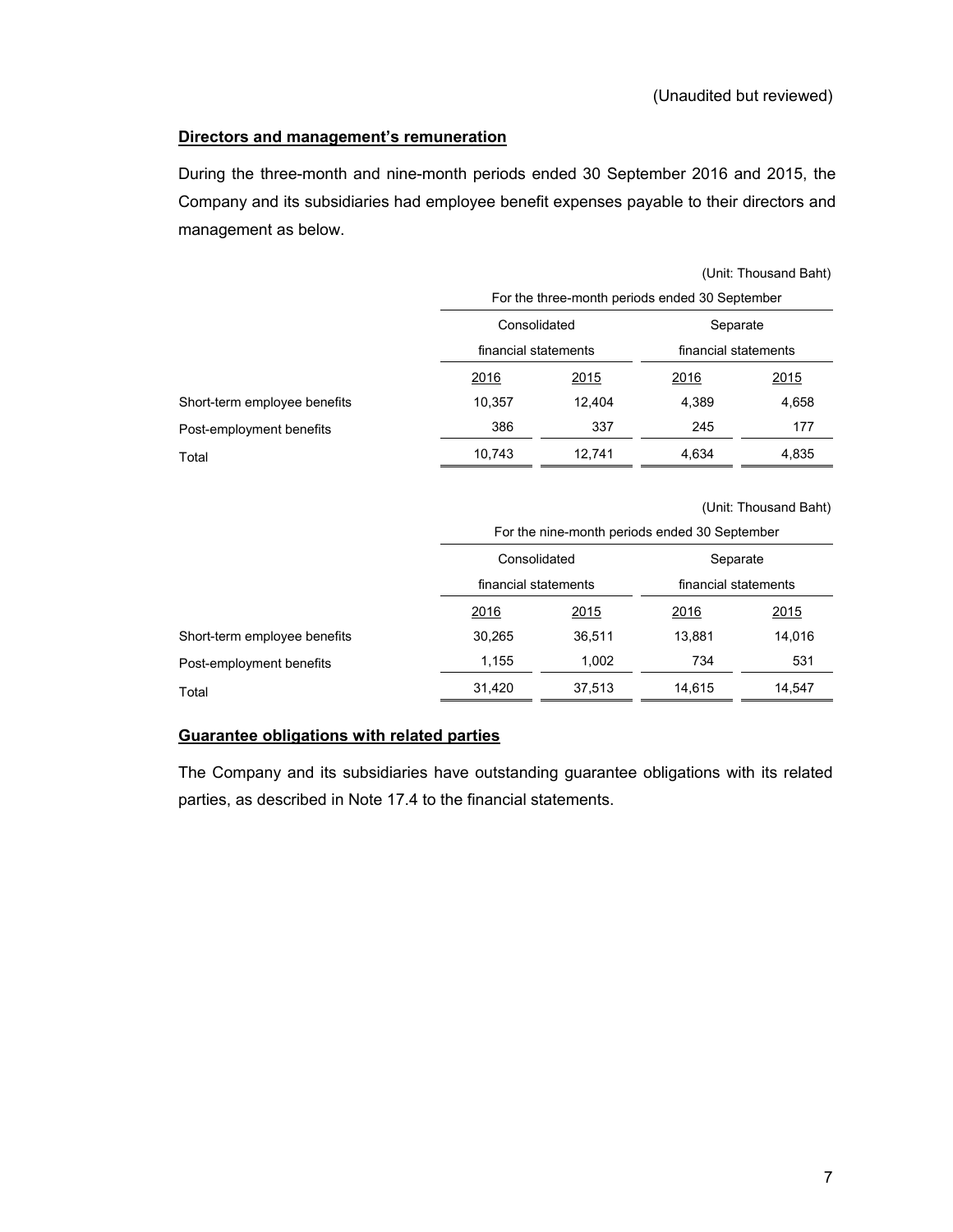### **Directors and management's remuneration**

During the three-month and nine-month periods ended 30 September 2016 and 2015, the Company and its subsidiaries had employee benefit expenses payable to their directors and management as below.

|                              |        | For the three-month periods ended 30 September |             |                      |  |  |
|------------------------------|--------|------------------------------------------------|-------------|----------------------|--|--|
|                              |        | Consolidated<br>financial statements           |             | Separate             |  |  |
|                              |        |                                                |             | financial statements |  |  |
|                              | 2016   | <u>2015</u>                                    | <u>2016</u> | <u>2015</u>          |  |  |
| Short-term employee benefits | 10,357 | 12.404                                         | 4,389       | 4,658                |  |  |
| Post-employment benefits     | 386    | 337                                            | 245         | 177                  |  |  |
| Total                        | 10,743 | 12.741                                         | 4.634       | 4,835                |  |  |

(Unit: Thousand Baht)

|                              |              | For the nine-month periods ended 30 September |          |                      |  |  |
|------------------------------|--------------|-----------------------------------------------|----------|----------------------|--|--|
|                              | Consolidated |                                               | Separate |                      |  |  |
|                              |              | financial statements                          |          | financial statements |  |  |
|                              | 2016         | <u>2015</u>                                   | 2016     | <u>2015</u>          |  |  |
| Short-term employee benefits | 30,265       | 36,511                                        | 13.881   | 14,016               |  |  |
| Post-employment benefits     | 1.155        | 1,002                                         | 734      | 531                  |  |  |
| Total                        | 31,420       | 37,513                                        | 14.615   | 14,547               |  |  |

### **Guarantee obligations with related parties**

The Company and its subsidiaries have outstanding guarantee obligations with its related parties, as described in Note 17.4 to the financial statements.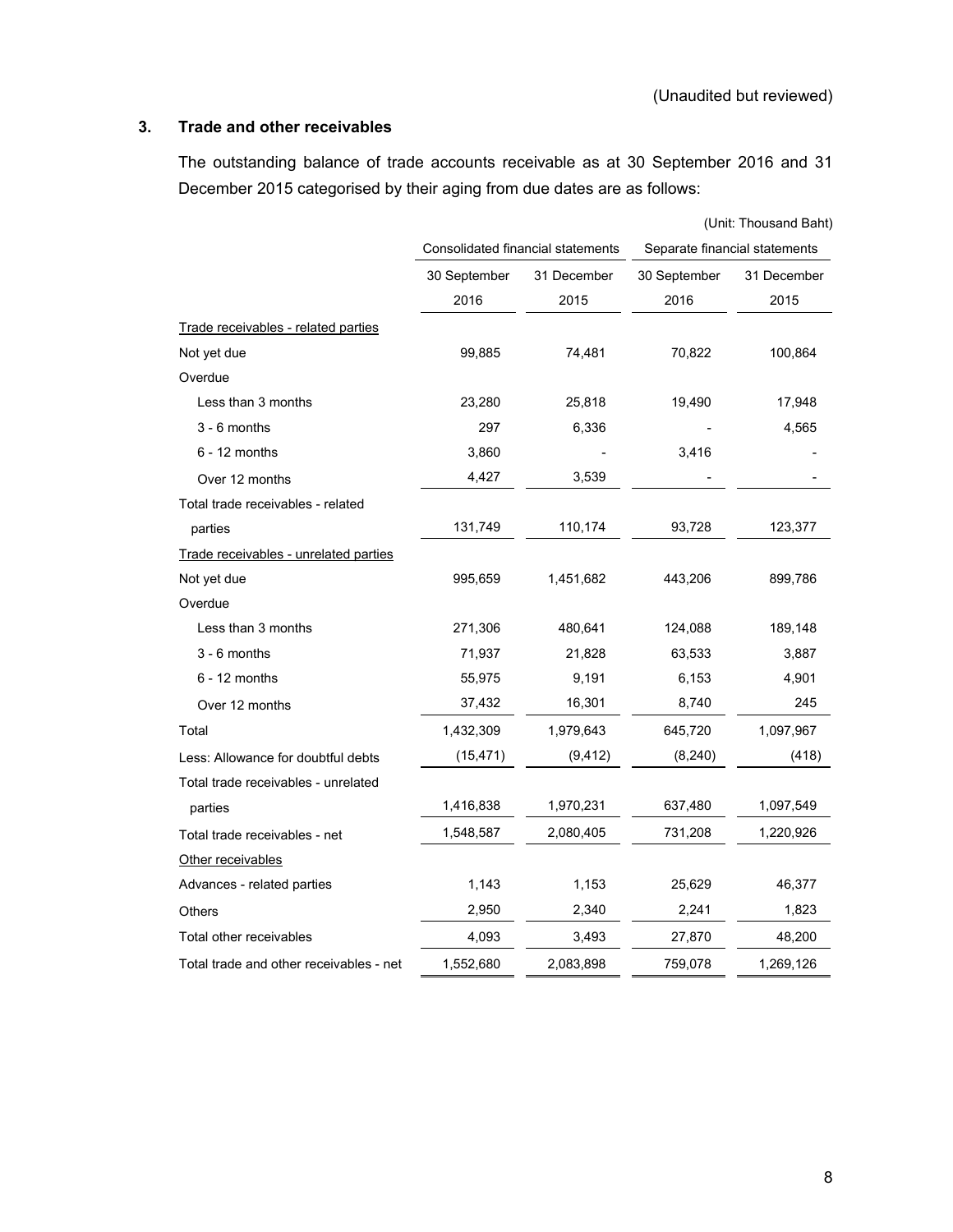### **3. Trade and other receivables**

 The outstanding balance of trade accounts receivable as at 30 September 2016 and 31 December 2015 categorised by their aging from due dates are as follows:

|                                         |                                   |             |              | (Unit: Thousand Baht)         |  |
|-----------------------------------------|-----------------------------------|-------------|--------------|-------------------------------|--|
|                                         | Consolidated financial statements |             |              | Separate financial statements |  |
|                                         | 30 September                      | 31 December | 30 September | 31 December                   |  |
|                                         | 2016                              | 2015        | 2016         | 2015                          |  |
| Trade receivables - related parties     |                                   |             |              |                               |  |
| Not yet due                             | 99,885                            | 74,481      | 70,822       | 100,864                       |  |
| Overdue                                 |                                   |             |              |                               |  |
| Less than 3 months                      | 23,280                            | 25,818      | 19,490       | 17,948                        |  |
| $3 - 6$ months                          | 297                               | 6,336       |              | 4,565                         |  |
| $6 - 12$ months                         | 3,860                             |             | 3,416        |                               |  |
| Over 12 months                          | 4,427                             | 3,539       |              |                               |  |
| Total trade receivables - related       |                                   |             |              |                               |  |
| parties                                 | 131,749                           | 110,174     | 93,728       | 123,377                       |  |
| Trade receivables - unrelated parties   |                                   |             |              |                               |  |
| Not yet due                             | 995,659                           | 1,451,682   | 443,206      | 899,786                       |  |
| Overdue                                 |                                   |             |              |                               |  |
| Less than 3 months                      | 271,306                           | 480,641     | 124,088      | 189,148                       |  |
| $3 - 6$ months                          | 71,937                            | 21,828      | 63,533       | 3,887                         |  |
| $6 - 12$ months                         | 55,975                            | 9,191       | 6,153        | 4,901                         |  |
| Over 12 months                          | 37,432                            | 16,301      | 8,740        | 245                           |  |
| Total                                   | 1,432,309                         | 1,979,643   | 645,720      | 1,097,967                     |  |
| Less: Allowance for doubtful debts      | (15, 471)                         | (9, 412)    | (8, 240)     | (418)                         |  |
| Total trade receivables - unrelated     |                                   |             |              |                               |  |
| parties                                 | 1,416,838                         | 1,970,231   | 637,480      | 1,097,549                     |  |
| Total trade receivables - net           | 1,548,587                         | 2,080,405   | 731,208      | 1,220,926                     |  |
| Other receivables                       |                                   |             |              |                               |  |
| Advances - related parties              | 1,143                             | 1,153       | 25,629       | 46,377                        |  |
| Others                                  | 2,950                             | 2,340       | 2,241        | 1,823                         |  |
| Total other receivables                 | 4,093                             | 3,493       | 27,870       | 48,200                        |  |
| Total trade and other receivables - net | 1,552,680                         | 2,083,898   | 759,078      | 1,269,126                     |  |
|                                         |                                   |             |              |                               |  |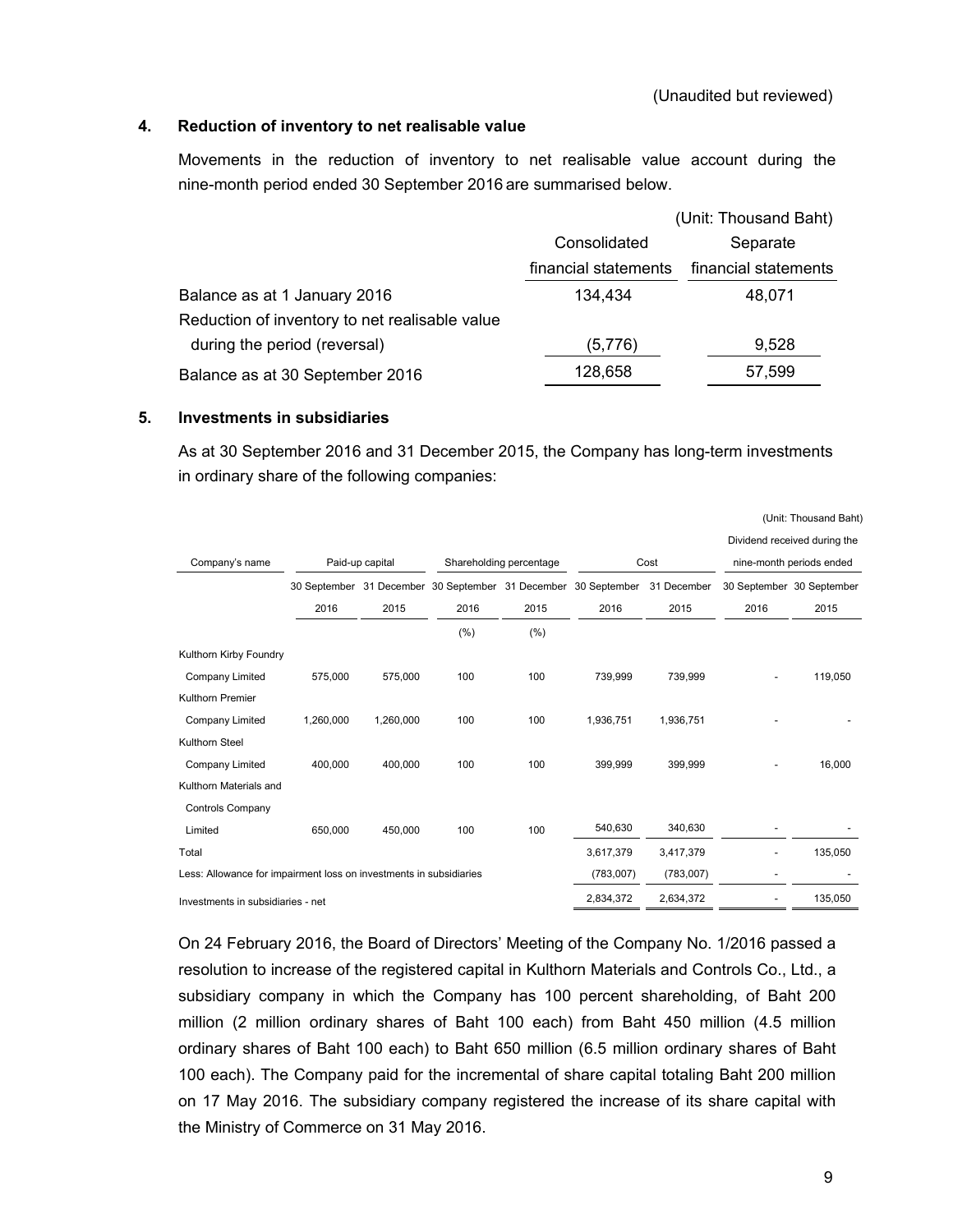### **4. Reduction of inventory to net realisable value**

 Movements in the reduction of inventory to net realisable value account during the nine-month period ended 30 September 2016 are summarised below.

|                                                |                      | (Unit: Thousand Baht) |
|------------------------------------------------|----------------------|-----------------------|
|                                                | Consolidated         | Separate              |
|                                                | financial statements | financial statements  |
| Balance as at 1 January 2016                   | 134,434              | 48,071                |
| Reduction of inventory to net realisable value |                      |                       |
| during the period (reversal)                   | (5,776)              | 9,528                 |
| Balance as at 30 September 2016                | 128,658              | 57,599                |
|                                                |                      |                       |

### **5. Investments in subsidiaries**

As at 30 September 2016 and 31 December 2015, the Company has long-term investments in ordinary share of the following companies:

|                                                                    |           |                 |      |                         |                                                                |             |                | Dividend received during the |
|--------------------------------------------------------------------|-----------|-----------------|------|-------------------------|----------------------------------------------------------------|-------------|----------------|------------------------------|
| Company's name                                                     |           | Paid-up capital |      | Shareholding percentage |                                                                | Cost        |                | nine-month periods ended     |
|                                                                    |           |                 |      |                         | 30 September 31 December 30 September 31 December 30 September | 31 December |                | 30 September 30 September    |
|                                                                    | 2016      | 2015            | 2016 | 2015                    | 2016                                                           | 2015        | 2016           | 2015                         |
|                                                                    |           |                 | (%)  | (% )                    |                                                                |             |                |                              |
| Kulthorn Kirby Foundry                                             |           |                 |      |                         |                                                                |             |                |                              |
| Company Limited                                                    | 575,000   | 575,000         | 100  | 100                     | 739,999                                                        | 739,999     | $\overline{a}$ | 119,050                      |
| <b>Kulthorn Premier</b>                                            |           |                 |      |                         |                                                                |             |                |                              |
| Company Limited                                                    | 1,260,000 | 1,260,000       | 100  | 100                     | 1,936,751                                                      | 1,936,751   |                |                              |
| <b>Kulthorn Steel</b>                                              |           |                 |      |                         |                                                                |             |                |                              |
| Company Limited                                                    | 400.000   | 400,000         | 100  | 100                     | 399.999                                                        | 399.999     |                | 16,000                       |
| Kulthorn Materials and                                             |           |                 |      |                         |                                                                |             |                |                              |
| <b>Controls Company</b>                                            |           |                 |      |                         |                                                                |             |                |                              |
| Limited                                                            | 650.000   | 450.000         | 100  | 100                     | 540,630                                                        | 340,630     |                |                              |
| Total                                                              |           |                 |      |                         | 3,617,379                                                      | 3,417,379   |                | 135,050                      |
| Less: Allowance for impairment loss on investments in subsidiaries |           |                 |      |                         | (783,007)                                                      | (783,007)   |                |                              |
| Investments in subsidiaries - net                                  |           |                 |      |                         | 2,834,372                                                      | 2,634,372   |                | 135,050                      |

On 24 February 2016, the Board of Directors' Meeting of the Company No. 1/2016 passed a resolution to increase of the registered capital in Kulthorn Materials and Controls Co., Ltd., a subsidiary company in which the Company has 100 percent shareholding, of Baht 200 million (2 million ordinary shares of Baht 100 each) from Baht 450 million (4.5 million ordinary shares of Baht 100 each) to Baht 650 million (6.5 million ordinary shares of Baht 100 each). The Company paid for the incremental of share capital totaling Baht 200 million on 17 May 2016. The subsidiary company registered the increase of its share capital with the Ministry of Commerce on 31 May 2016.

(Unit: Thousand Baht)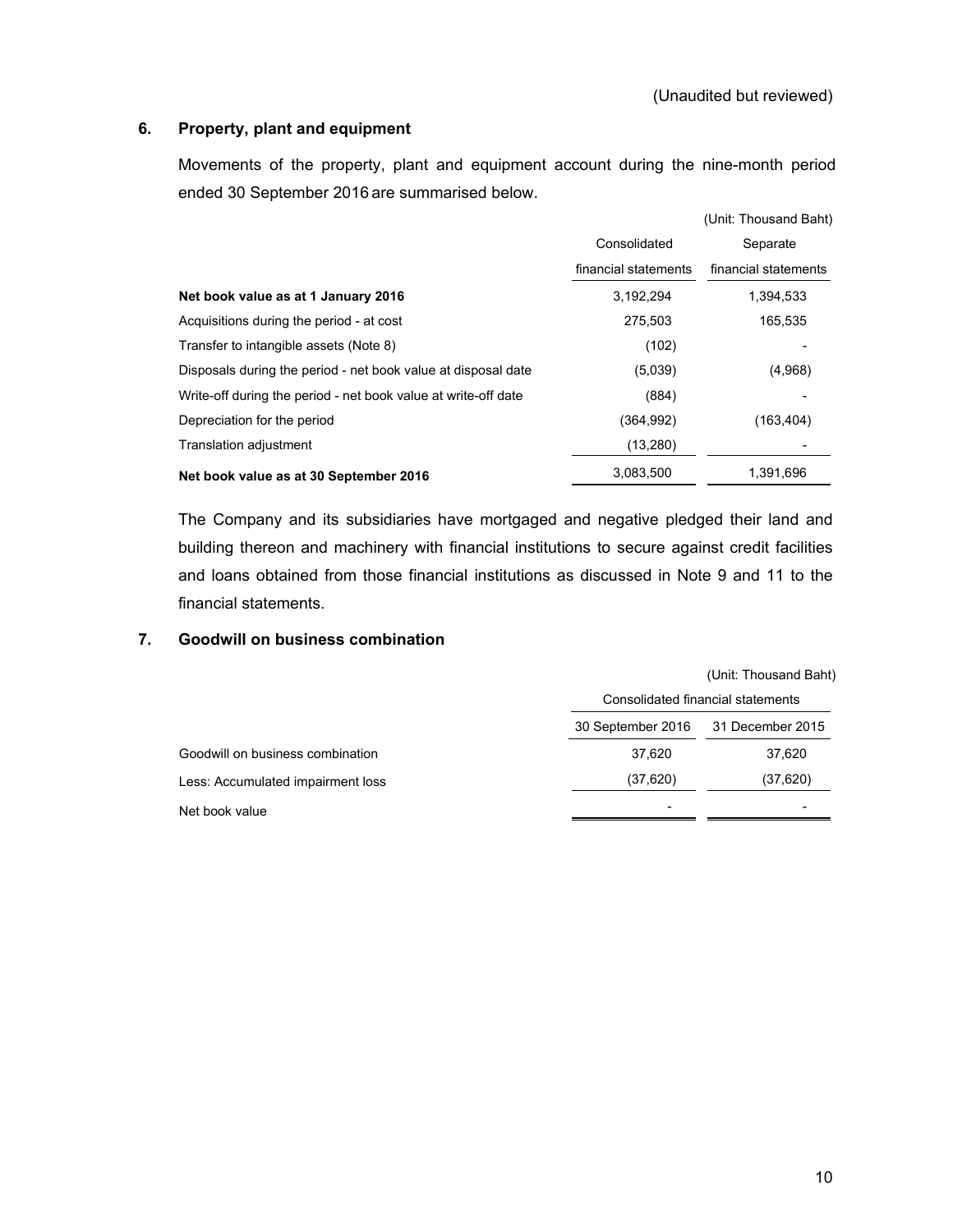### **6. Property, plant and equipment**

Movements of the property, plant and equipment account during the nine-month period ended 30 September 2016 are summarised below.

|                                                                |                      | (Unit: Thousand Baht) |
|----------------------------------------------------------------|----------------------|-----------------------|
|                                                                | Consolidated         | Separate              |
|                                                                | financial statements | financial statements  |
| Net book value as at 1 January 2016                            | 3,192,294            | 1,394,533             |
| Acquisitions during the period - at cost                       | 275,503              | 165,535               |
| Transfer to intangible assets (Note 8)                         | (102)                |                       |
| Disposals during the period - net book value at disposal date  | (5,039)              | (4,968)               |
| Write-off during the period - net book value at write-off date | (884)                |                       |
| Depreciation for the period                                    | (364, 992)           | (163,404)             |
| Translation adjustment                                         | (13, 280)            |                       |
| Net book value as at 30 September 2016                         | 3,083,500            | 1,391,696             |

The Company and its subsidiaries have mortgaged and negative pledged their land and building thereon and machinery with financial institutions to secure against credit facilities and loans obtained from those financial institutions as discussed in Note 9 and 11 to the financial statements.

### **7. Goodwill on business combination**

|                                   |                                   | (Unit: Thousand Baht) |
|-----------------------------------|-----------------------------------|-----------------------|
|                                   | Consolidated financial statements |                       |
|                                   | 30 September 2016                 | 31 December 2015      |
| Goodwill on business combination  | 37.620                            | 37,620                |
| Less: Accumulated impairment loss | (37,620)                          | (37, 620)             |
| Net book value                    | -                                 |                       |
|                                   |                                   |                       |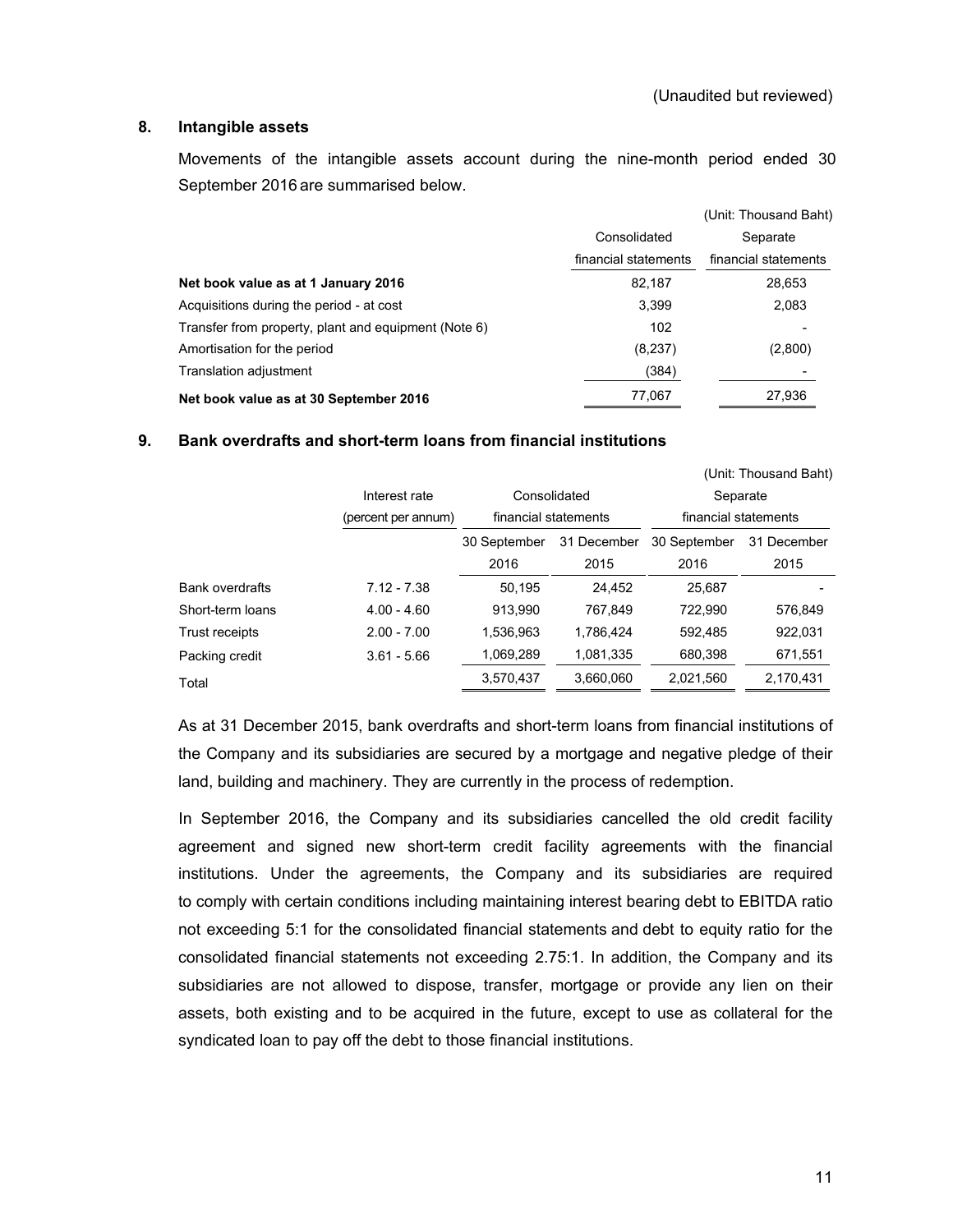### **8. Intangible assets**

Movements of the intangible assets account during the nine-month period ended 30 September 2016 are summarised below.

|                                                      |                      | (Unit: Thousand Baht) |
|------------------------------------------------------|----------------------|-----------------------|
|                                                      | Consolidated         | Separate              |
|                                                      | financial statements | financial statements  |
| Net book value as at 1 January 2016                  | 82,187               | 28,653                |
| Acquisitions during the period - at cost             | 3.399                | 2,083                 |
| Transfer from property, plant and equipment (Note 6) | 102                  |                       |
| Amortisation for the period                          | (8, 237)             | (2,800)               |
| Translation adjustment                               | (384)                |                       |
| Net book value as at 30 September 2016               | 77,067               | 27,936                |

### **9. Bank overdrafts and short-term loans from financial institutions**

|                        |                     |              |                      |                      | (Unit: Thousand Baht) |  |  |
|------------------------|---------------------|--------------|----------------------|----------------------|-----------------------|--|--|
|                        | Interest rate       |              | Consolidated         | Separate             |                       |  |  |
|                        | (percent per annum) |              | financial statements | financial statements |                       |  |  |
|                        |                     | 30 September | 31 December          | 30 September         | 31 December           |  |  |
|                        |                     | 2016         | 2015                 | 2016                 | 2015                  |  |  |
| <b>Bank overdrafts</b> | $7.12 - 7.38$       | 50,195       | 24.452               | 25,687               |                       |  |  |
| Short-term loans       | $4.00 - 4.60$       | 913,990      | 767,849              | 722,990              | 576,849               |  |  |
| Trust receipts         | $2.00 - 7.00$       | 1,536,963    | 1,786,424            | 592.485              | 922,031               |  |  |
| Packing credit         | $3.61 - 5.66$       | 1,069,289    | 1.081.335            | 680,398              | 671,551               |  |  |
| Total                  |                     | 3,570,437    | 3,660,060            | 2,021,560            | 2,170,431             |  |  |

As at 31 December 2015, bank overdrafts and short-term loans from financial institutions of the Company and its subsidiaries are secured by a mortgage and negative pledge of their land, building and machinery. They are currently in the process of redemption.

 In September 2016, the Company and its subsidiaries cancelled the old credit facility agreement and signed new short-term credit facility agreements with the financial institutions. Under the agreements, the Company and its subsidiaries are required to comply with certain conditions including maintaining interest bearing debt to EBITDA ratio not exceeding 5:1 for the consolidated financial statements and debt to equity ratio for the consolidated financial statements not exceeding 2.75:1. In addition, the Company and its subsidiaries are not allowed to dispose, transfer, mortgage or provide any lien on their assets, both existing and to be acquired in the future, except to use as collateral for the syndicated loan to pay off the debt to those financial institutions.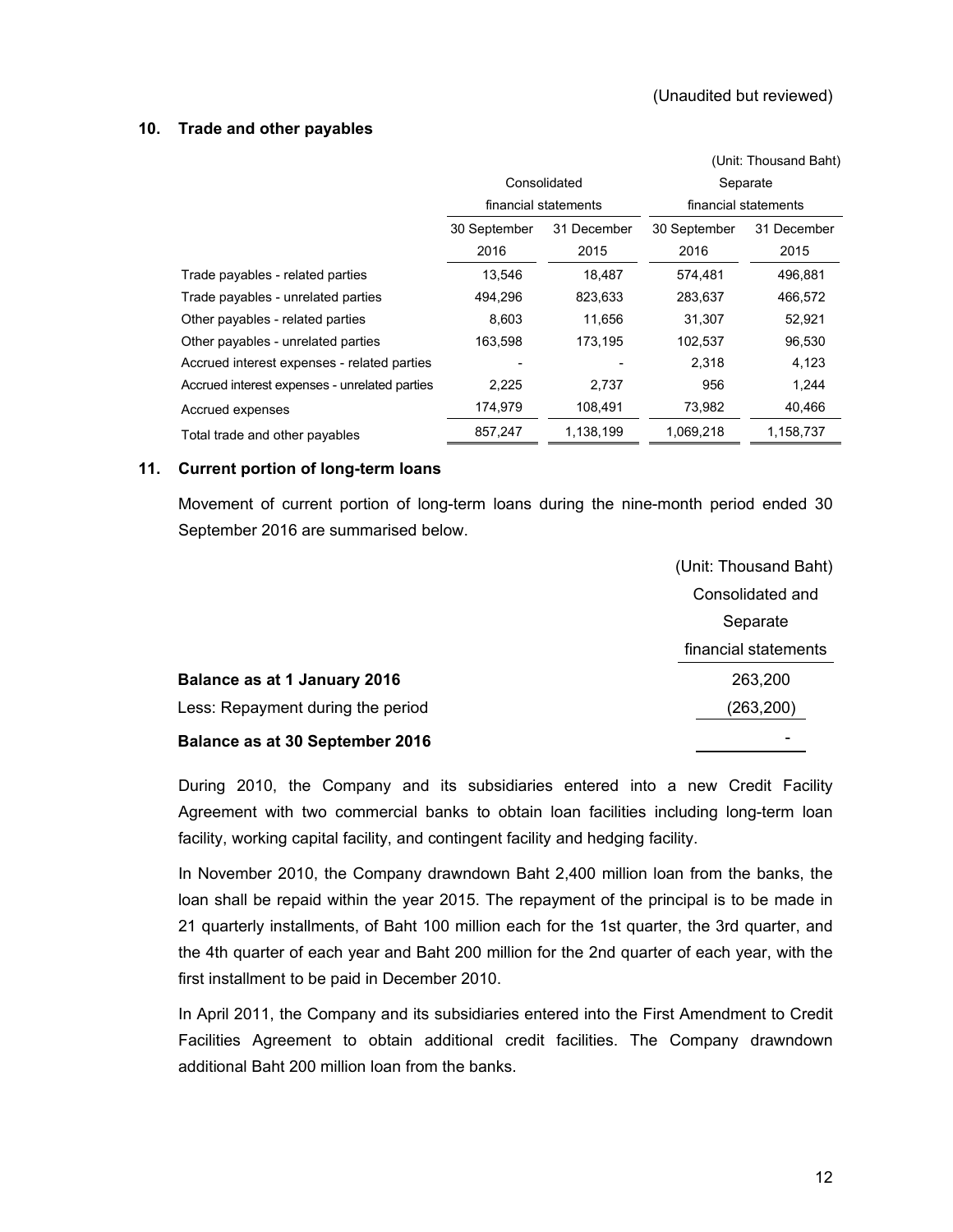### **10. Trade and other payables**

|                                               |              |                      | (Unit: Thousand Baht) |                      |  |  |
|-----------------------------------------------|--------------|----------------------|-----------------------|----------------------|--|--|
|                                               |              | Consolidated         | Separate              |                      |  |  |
|                                               |              | financial statements |                       | financial statements |  |  |
|                                               | 30 September | 31 December          | 30 September          | 31 December          |  |  |
|                                               | 2016         | 2015                 | 2016                  | 2015                 |  |  |
| Trade payables - related parties              | 13,546       | 18,487               | 574,481               | 496,881              |  |  |
| Trade payables - unrelated parties            | 494,296      | 823,633              | 283,637               | 466,572              |  |  |
| Other payables - related parties              | 8,603        | 11,656               | 31,307                | 52,921               |  |  |
| Other payables - unrelated parties            | 163,598      | 173,195              | 102,537               | 96,530               |  |  |
| Accrued interest expenses - related parties   |              |                      | 2,318                 | 4,123                |  |  |
| Accrued interest expenses - unrelated parties | 2,225        | 2,737                | 956                   | 1,244                |  |  |
| Accrued expenses                              | 174,979      | 108,491              | 73,982                | 40,466               |  |  |
| Total trade and other payables                | 857,247      | 1,138,199            | 1,069,218             | 1.158,737            |  |  |

### **11. Current portion of long-term loans**

Movement of current portion of long-term loans during the nine-month period ended 30 September 2016 are summarised below.

|                                        | (Unit: Thousand Baht)    |
|----------------------------------------|--------------------------|
|                                        | Consolidated and         |
|                                        | Separate                 |
|                                        | financial statements     |
| Balance as at 1 January 2016           | 263,200                  |
| Less: Repayment during the period      | (263,200)                |
| <b>Balance as at 30 September 2016</b> | $\overline{\phantom{0}}$ |

During 2010, the Company and its subsidiaries entered into a new Credit Facility Agreement with two commercial banks to obtain loan facilities including long-term loan facility, working capital facility, and contingent facility and hedging facility.

In November 2010, the Company drawndown Baht 2,400 million loan from the banks, the loan shall be repaid within the year 2015. The repayment of the principal is to be made in 21 quarterly installments, of Baht 100 million each for the 1st quarter, the 3rd quarter, and the 4th quarter of each year and Baht 200 million for the 2nd quarter of each year, with the first installment to be paid in December 2010.

In April 2011, the Company and its subsidiaries entered into the First Amendment to Credit Facilities Agreement to obtain additional credit facilities. The Company drawndown additional Baht 200 million loan from the banks.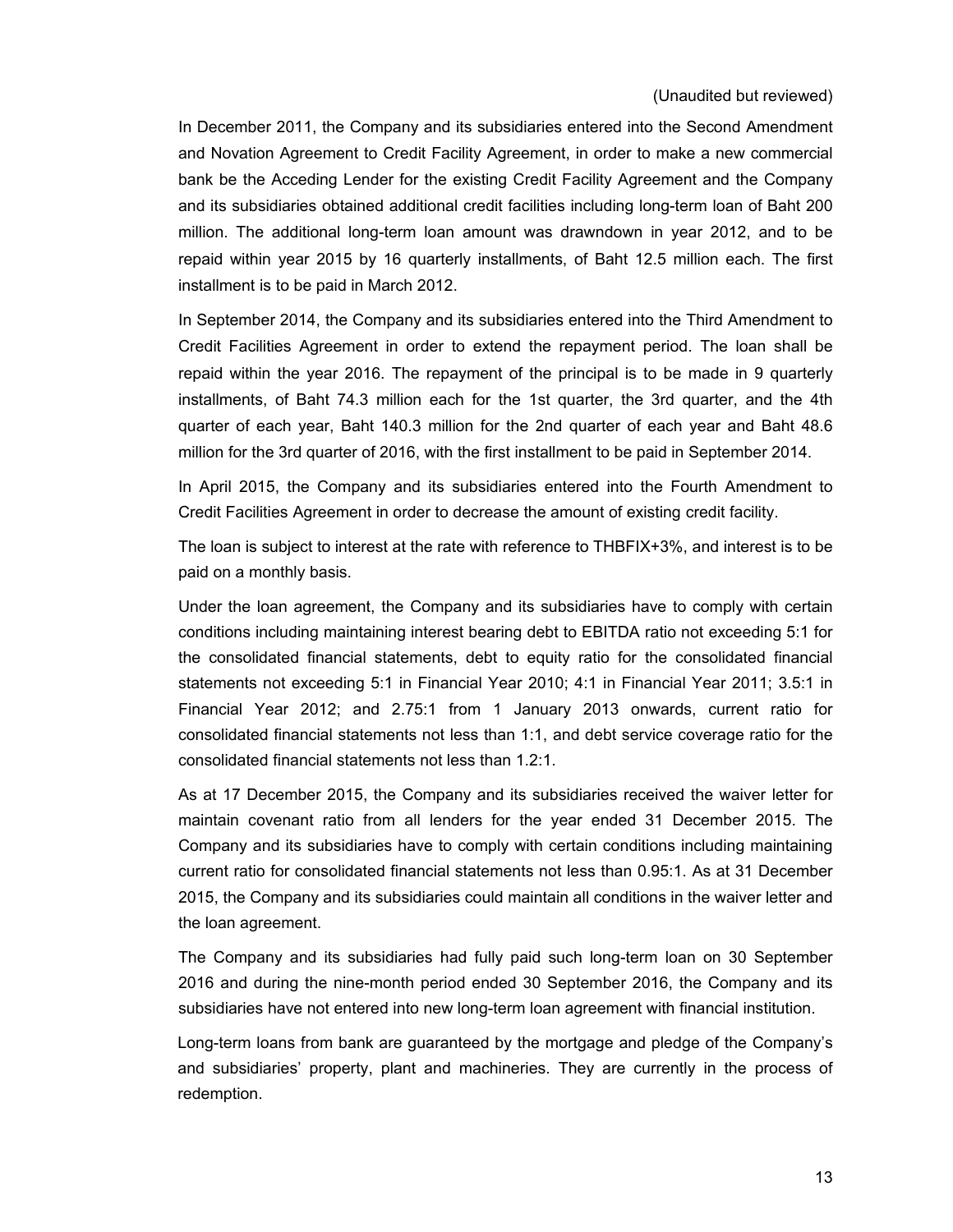In December 2011, the Company and its subsidiaries entered into the Second Amendment and Novation Agreement to Credit Facility Agreement, in order to make a new commercial bank be the Acceding Lender for the existing Credit Facility Agreement and the Company and its subsidiaries obtained additional credit facilities including long-term loan of Baht 200 million. The additional long-term loan amount was drawndown in year 2012, and to be repaid within year 2015 by 16 quarterly installments, of Baht 12.5 million each. The first installment is to be paid in March 2012.

In September 2014, the Company and its subsidiaries entered into the Third Amendment to Credit Facilities Agreement in order to extend the repayment period. The loan shall be repaid within the year 2016. The repayment of the principal is to be made in 9 quarterly installments, of Baht 74.3 million each for the 1st quarter, the 3rd quarter, and the 4th quarter of each year, Baht 140.3 million for the 2nd quarter of each year and Baht 48.6 million for the 3rd quarter of 2016, with the first installment to be paid in September 2014.

In April 2015, the Company and its subsidiaries entered into the Fourth Amendment to Credit Facilities Agreement in order to decrease the amount of existing credit facility.

The loan is subject to interest at the rate with reference to THBFIX+3%, and interest is to be paid on a monthly basis.

Under the loan agreement, the Company and its subsidiaries have to comply with certain conditions including maintaining interest bearing debt to EBITDA ratio not exceeding 5:1 for the consolidated financial statements, debt to equity ratio for the consolidated financial statements not exceeding 5:1 in Financial Year 2010; 4:1 in Financial Year 2011; 3.5:1 in Financial Year 2012; and 2.75:1 from 1 January 2013 onwards, current ratio for consolidated financial statements not less than 1:1, and debt service coverage ratio for the consolidated financial statements not less than 1.2:1.

 As at 17 December 2015, the Company and its subsidiaries received the waiver letter for maintain covenant ratio from all lenders for the year ended 31 December 2015. The Company and its subsidiaries have to comply with certain conditions including maintaining current ratio for consolidated financial statements not less than 0.95:1. As at 31 December 2015, the Company and its subsidiaries could maintain all conditions in the waiver letter and the loan agreement.

 The Company and its subsidiaries had fully paid such long-term loan on 30 September 2016 and during the nine-month period ended 30 September 2016, the Company and its subsidiaries have not entered into new long-term loan agreement with financial institution.

 Long-term loans from bank are guaranteed by the mortgage and pledge of the Company's and subsidiaries' property, plant and machineries. They are currently in the process of redemption.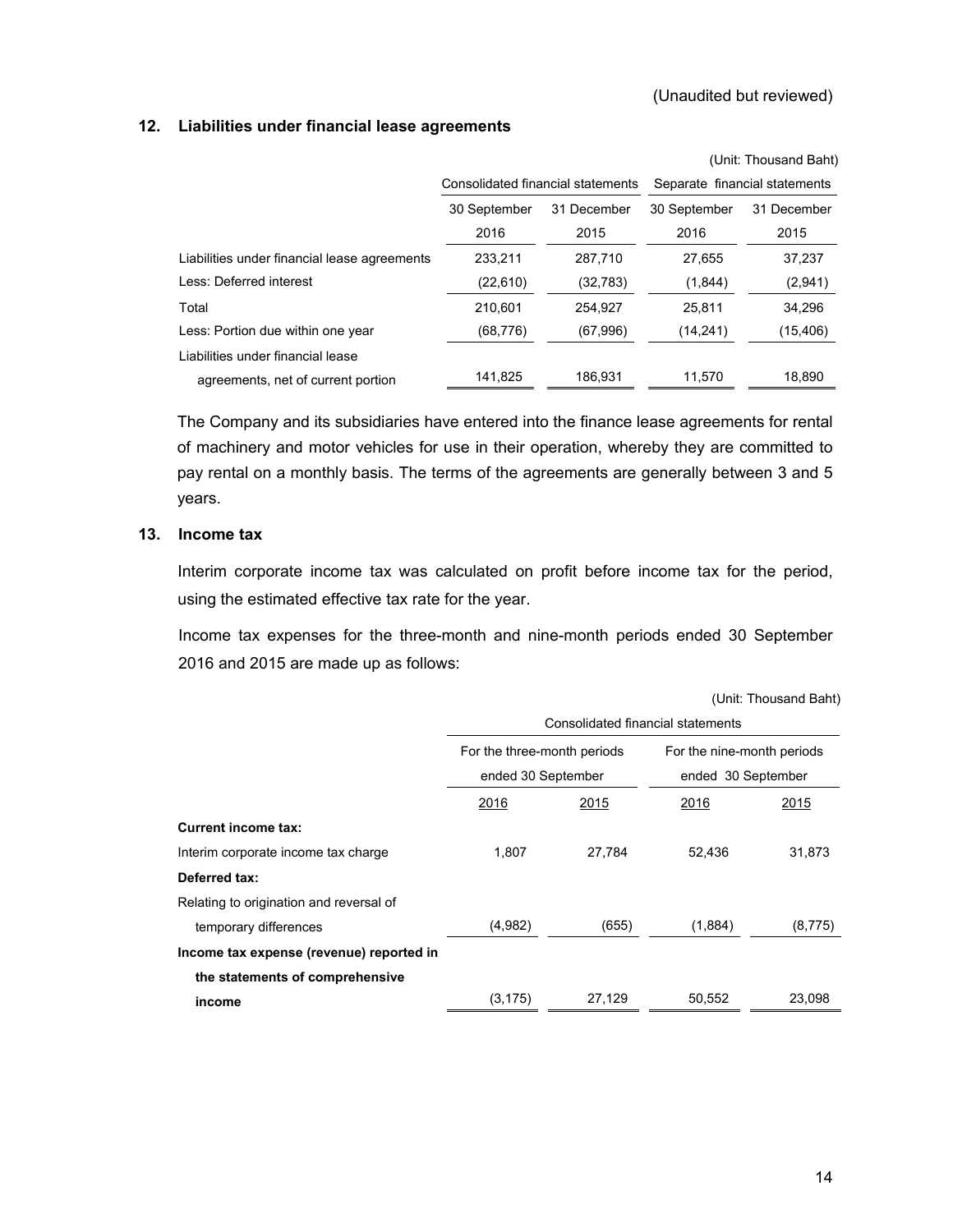### **12. Liabilities under financial lease agreements**

|                                              |                                   |             |              | (Unit: Thousand Baht)         |
|----------------------------------------------|-----------------------------------|-------------|--------------|-------------------------------|
|                                              | Consolidated financial statements |             |              | Separate financial statements |
|                                              | 30 September                      | 31 December | 30 September | 31 December                   |
|                                              | 2016                              | 2015        | 2016         | 2015                          |
| Liabilities under financial lease agreements | 233.211                           | 287.710     | 27,655       | 37,237                        |
| Less: Deferred interest                      | (22,610)                          | (32,783)    | (1,844)      | (2,941)                       |
| Total                                        | 210,601                           | 254.927     | 25.811       | 34,296                        |
| Less: Portion due within one year            | (68, 776)                         | (67,996)    | (14, 241)    | (15, 406)                     |
| Liabilities under financial lease            |                                   |             |              |                               |
| agreements, net of current portion           | 141.825                           | 186.931     | 11,570       | 18.890                        |

The Company and its subsidiaries have entered into the finance lease agreements for rental of machinery and motor vehicles for use in their operation, whereby they are committed to pay rental on a monthly basis. The terms of the agreements are generally between 3 and 5 years.

### **13. Income tax**

 Interim corporate income tax was calculated on profit before income tax for the period, using the estimated effective tax rate for the year.

 Income tax expenses for the three-month and nine-month periods ended 30 September 2016 and 2015 are made up as follows:

|  |  | (Unit: Thousand Baht) |  |  |
|--|--|-----------------------|--|--|
|--|--|-----------------------|--|--|

|                                          | Consolidated financial statements |        |                            |         |  |  |  |  |
|------------------------------------------|-----------------------------------|--------|----------------------------|---------|--|--|--|--|
|                                          | For the three-month periods       |        | For the nine-month periods |         |  |  |  |  |
|                                          | ended 30 September                |        | ended 30 September         |         |  |  |  |  |
|                                          | 2016                              | 2015   | 2016                       | 2015    |  |  |  |  |
| <b>Current income tax:</b>               |                                   |        |                            |         |  |  |  |  |
| Interim corporate income tax charge      | 1.807                             | 27,784 | 52,436                     | 31,873  |  |  |  |  |
| Deferred tax:                            |                                   |        |                            |         |  |  |  |  |
| Relating to origination and reversal of  |                                   |        |                            |         |  |  |  |  |
| temporary differences                    | (4,982)                           | (655)  | (1,884)                    | (8,775) |  |  |  |  |
| Income tax expense (revenue) reported in |                                   |        |                            |         |  |  |  |  |
| the statements of comprehensive          |                                   |        |                            |         |  |  |  |  |
| income                                   | (3, 175)                          | 27,129 | 50,552                     | 23,098  |  |  |  |  |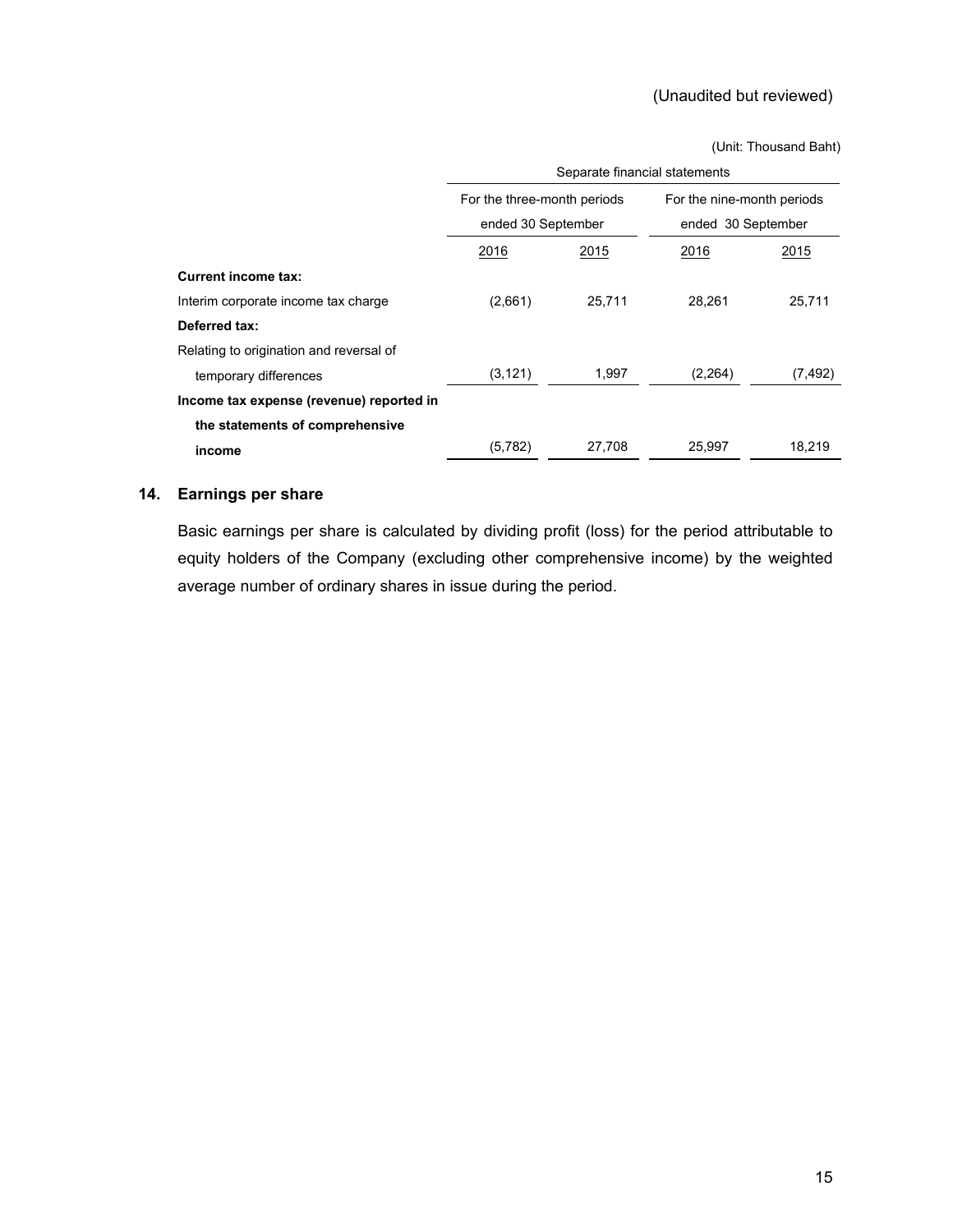(Unit: Thousand Baht)

|                                          | Separate financial statements |        |                            |          |  |  |  |  |
|------------------------------------------|-------------------------------|--------|----------------------------|----------|--|--|--|--|
|                                          | For the three-month periods   |        | For the nine-month periods |          |  |  |  |  |
|                                          | ended 30 September            |        | ended 30 September         |          |  |  |  |  |
|                                          | 2016                          | 2015   | 2016                       | 2015     |  |  |  |  |
| <b>Current income tax:</b>               |                               |        |                            |          |  |  |  |  |
| Interim corporate income tax charge      | (2,661)                       | 25,711 | 28,261                     | 25,711   |  |  |  |  |
| Deferred tax:                            |                               |        |                            |          |  |  |  |  |
| Relating to origination and reversal of  |                               |        |                            |          |  |  |  |  |
| temporary differences                    | (3, 121)                      | 1,997  | (2,264)                    | (7, 492) |  |  |  |  |
| Income tax expense (revenue) reported in |                               |        |                            |          |  |  |  |  |
| the statements of comprehensive          |                               |        |                            |          |  |  |  |  |
| income                                   | (5,782)                       | 27.708 | 25,997                     | 18.219   |  |  |  |  |

### **14. Earnings per share**

 Basic earnings per share is calculated by dividing profit (loss) for the period attributable to equity holders of the Company (excluding other comprehensive income) by the weighted average number of ordinary shares in issue during the period.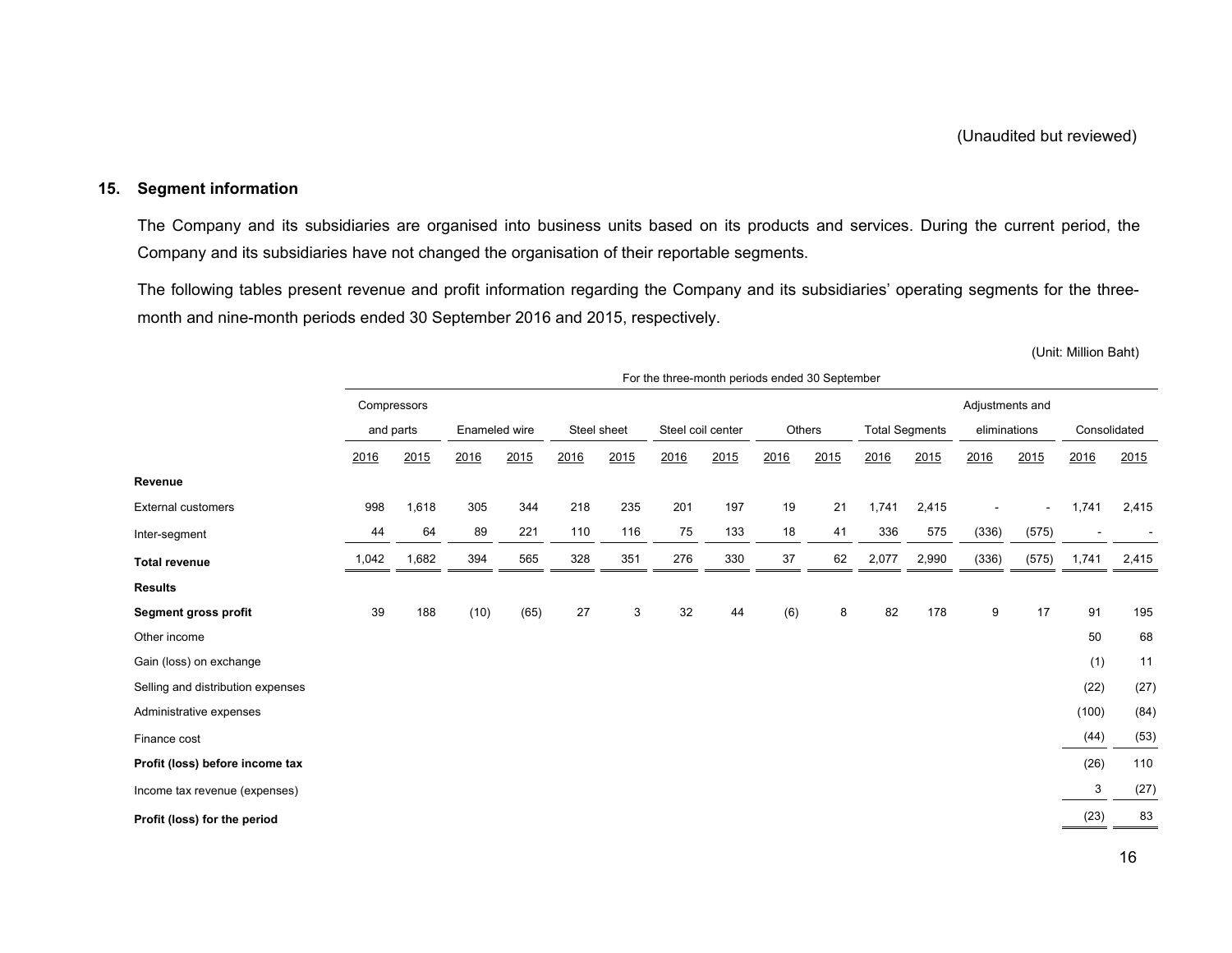### **15. Segment information**

 The Company and its subsidiaries are organised into business units based on its products and services. During the current period, the Company and its subsidiaries have not changed the organisation of their reportable segments.

 The following tables present revenue and profit information regarding the Company and its subsidiaries' operating segments for the threemonth and nine-month periods ended 30 September 2016 and 2015, respectively.

(Unit: Million Baht)

|                                   | For the three-month periods ended 30 September |             |               |      |      |             |      |                   |      |        |       |                       |                 |       |              |       |
|-----------------------------------|------------------------------------------------|-------------|---------------|------|------|-------------|------|-------------------|------|--------|-------|-----------------------|-----------------|-------|--------------|-------|
|                                   |                                                | Compressors |               |      |      |             |      |                   |      |        |       |                       | Adjustments and |       |              |       |
|                                   |                                                | and parts   | Enameled wire |      |      | Steel sheet |      | Steel coil center |      | Others |       | <b>Total Segments</b> | eliminations    |       | Consolidated |       |
|                                   | 2016                                           | 2015        | 2016          | 2015 | 2016 | 2015        | 2016 | 2015              | 2016 | 2015   | 2016  | 2015                  | 2016            | 2015  | 2016         | 2015  |
| Revenue                           |                                                |             |               |      |      |             |      |                   |      |        |       |                       |                 |       |              |       |
| <b>External customers</b>         | 998                                            | 1,618       | 305           | 344  | 218  | 235         | 201  | 197               | 19   | 21     | 1,741 | 2,415                 |                 |       | 1,741        | 2,415 |
| Inter-segment                     | 44                                             | 64          | 89            | 221  | 110  | 116         | 75   | 133               | 18   | 41     | 336   | 575                   | (336)           | (575) |              |       |
| <b>Total revenue</b>              | 1,042                                          | 1,682       | 394           | 565  | 328  | 351         | 276  | 330               | 37   | 62     | 2,077 | 2,990                 | (336)           | (575) | 1,741        | 2,415 |
| <b>Results</b>                    |                                                |             |               |      |      |             |      |                   |      |        |       |                       |                 |       |              |       |
| Segment gross profit              | 39                                             | 188         | (10)          | (65) | 27   | 3           | 32   | 44                | (6)  | 8      | 82    | 178                   | 9               | 17    | 91           | 195   |
| Other income                      |                                                |             |               |      |      |             |      |                   |      |        |       |                       |                 |       | 50           | 68    |
| Gain (loss) on exchange           |                                                |             |               |      |      |             |      |                   |      |        |       |                       |                 |       | (1)          | 11    |
| Selling and distribution expenses |                                                |             |               |      |      |             |      |                   |      |        |       |                       |                 |       | (22)         | (27)  |
| Administrative expenses           |                                                |             |               |      |      |             |      |                   |      |        |       |                       |                 |       | (100)        | (84)  |
| Finance cost                      |                                                |             |               |      |      |             |      |                   |      |        |       |                       |                 |       | (44)         | (53)  |
| Profit (loss) before income tax   |                                                |             |               |      |      |             |      |                   |      |        |       |                       |                 |       | (26)         | 110   |
| Income tax revenue (expenses)     |                                                |             |               |      |      |             |      |                   |      |        |       |                       |                 |       | 3            | (27)  |
| Profit (loss) for the period      |                                                |             |               |      |      |             |      |                   |      |        |       |                       |                 |       | (23)         | 83    |
|                                   |                                                |             |               |      |      |             |      |                   |      |        |       |                       |                 |       |              |       |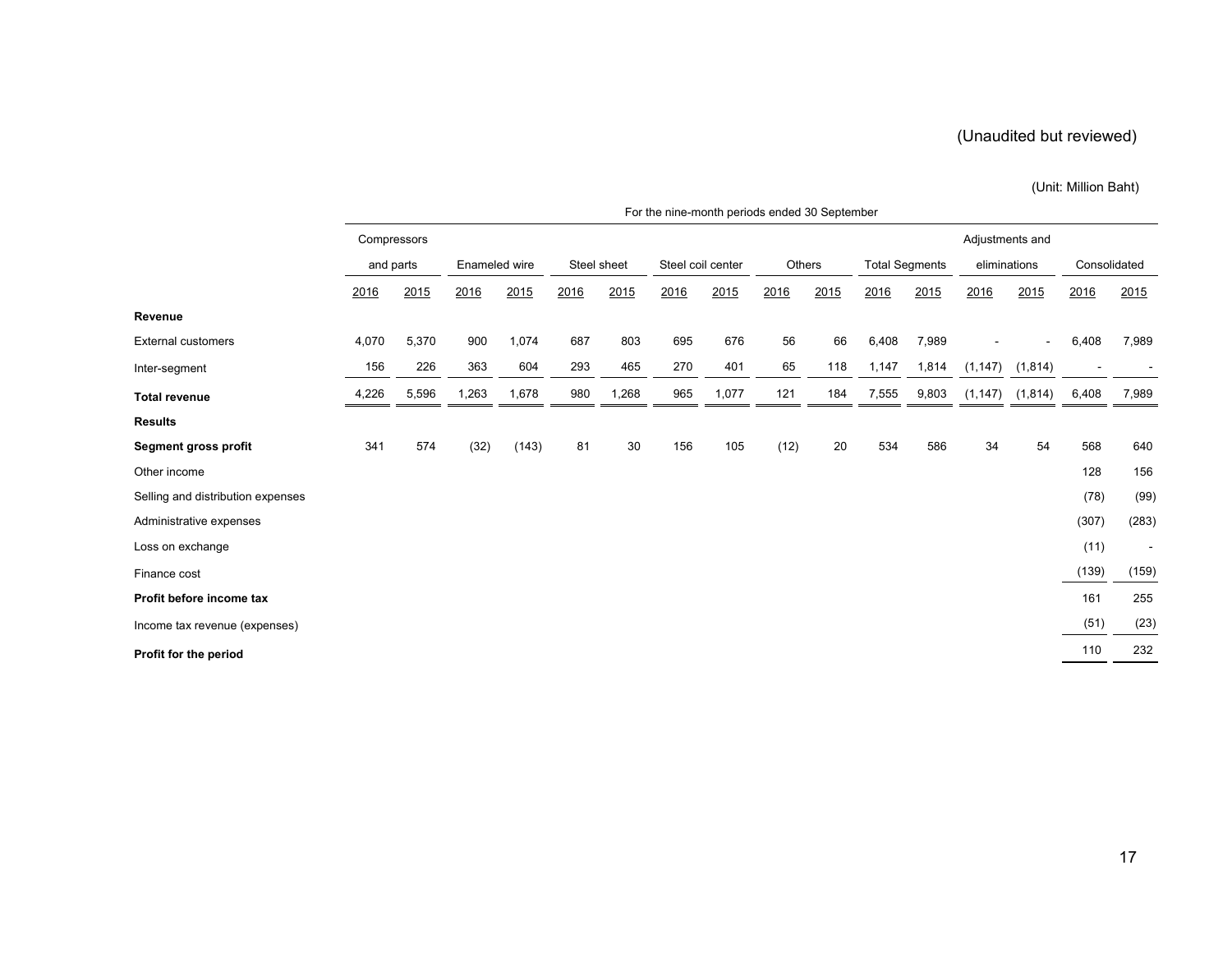### (Unit: Million Baht)

|                                   | For the nine-month periods ended 30 September |       |               |       |             |       |                   |       |        |      |                       |       |              |                |              |        |
|-----------------------------------|-----------------------------------------------|-------|---------------|-------|-------------|-------|-------------------|-------|--------|------|-----------------------|-------|--------------|----------------|--------------|--------|
|                                   | Compressors<br>Adjustments and                |       |               |       |             |       |                   |       |        |      |                       |       |              |                |              |        |
|                                   | and parts                                     |       | Enameled wire |       | Steel sheet |       | Steel coil center |       | Others |      | <b>Total Segments</b> |       | eliminations |                | Consolidated |        |
|                                   | 2016                                          | 2015  | 2016          | 2015  | 2016        | 2015  | 2016              | 2015  | 2016   | 2015 | 2016                  | 2015  | 2016         | 2015           | 2016         | 2015   |
| Revenue                           |                                               |       |               |       |             |       |                   |       |        |      |                       |       |              |                |              |        |
| <b>External customers</b>         | 4,070                                         | 5,370 | 900           | 1,074 | 687         | 803   | 695               | 676   | 56     | 66   | 6,408                 | 7,989 |              | $\blacksquare$ | 6,408        | 7,989  |
| Inter-segment                     | 156                                           | 226   | 363           | 604   | 293         | 465   | 270               | 401   | 65     | 118  | 1,147                 | 1,814 | (1, 147)     | (1, 814)       |              |        |
| <b>Total revenue</b>              | 4,226                                         | 5,596 | 1,263         | 1,678 | 980         | 1,268 | 965               | 1,077 | 121    | 184  | 7,555                 | 9,803 | (1, 147)     | (1,814)        | 6,408        | 7,989  |
| <b>Results</b>                    |                                               |       |               |       |             |       |                   |       |        |      |                       |       |              |                |              |        |
| Segment gross profit              | 341                                           | 574   | (32)          | (143) | 81          | 30    | 156               | 105   | (12)   | 20   | 534                   | 586   | 34           | 54             | 568          | 640    |
| Other income                      |                                               |       |               |       |             |       |                   |       |        |      |                       |       |              |                | 128          | 156    |
| Selling and distribution expenses |                                               |       |               |       |             |       |                   |       |        |      |                       |       |              |                | (78)         | (99)   |
| Administrative expenses           |                                               |       |               |       |             |       |                   |       |        |      |                       |       |              |                | (307)        | (283)  |
| Loss on exchange                  |                                               |       |               |       |             |       |                   |       |        |      |                       |       |              |                | (11)         | $\sim$ |
| Finance cost                      |                                               |       |               |       |             |       |                   |       |        |      |                       |       |              |                | (139)        | (159)  |
| Profit before income tax          |                                               |       |               |       |             |       |                   |       |        |      |                       |       |              |                | 161          | 255    |
| Income tax revenue (expenses)     |                                               |       |               |       |             |       |                   |       |        |      |                       |       |              |                | (51)         | (23)   |
| Profit for the period             |                                               |       |               |       |             |       |                   |       |        |      |                       |       |              |                | 110          | 232    |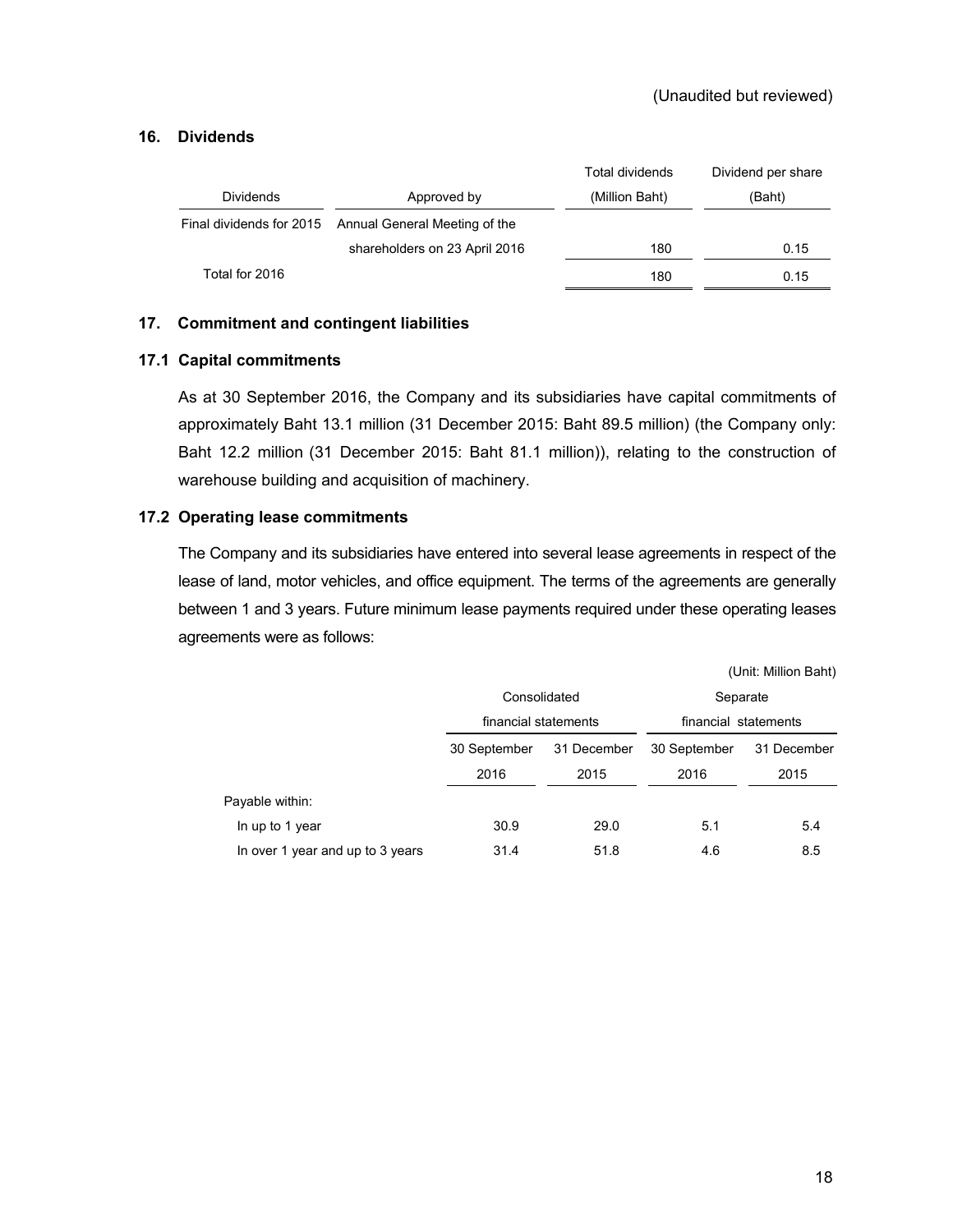### **16. Dividends**

|                          |                               | Total dividends | Dividend per share |
|--------------------------|-------------------------------|-----------------|--------------------|
| <b>Dividends</b>         | Approved by                   | (Million Baht)  | (Baht)             |
| Final dividends for 2015 | Annual General Meeting of the |                 |                    |
|                          | shareholders on 23 April 2016 | 180             | 0.15               |
| Total for 2016           |                               | 180             | 0.15               |

### **17. Commitment and contingent liabilities**

### **17.1 Capital commitments**

 As at 30 September 2016, the Company and its subsidiaries have capital commitments of approximately Baht 13.1 million (31 December 2015: Baht 89.5 million) (the Company only: Baht 12.2 million (31 December 2015: Baht 81.1 million)), relating to the construction of warehouse building and acquisition of machinery.

### **17.2 Operating lease commitments**

 The Company and its subsidiaries have entered into several lease agreements in respect of the lease of land, motor vehicles, and office equipment. The terms of the agreements are generally between 1 and 3 years. Future minimum lease payments required under these operating leases agreements were as follows:

|                                  |                      |             |                      | (Unit: Million Baht) |  |  |
|----------------------------------|----------------------|-------------|----------------------|----------------------|--|--|
|                                  | Consolidated         |             | Separate             |                      |  |  |
|                                  | financial statements |             | financial statements |                      |  |  |
|                                  | 30 September         | 31 December | 30 September         | 31 December          |  |  |
|                                  | 2016                 | 2015        | 2016                 | 2015                 |  |  |
| Payable within:                  |                      |             |                      |                      |  |  |
| In up to 1 year                  | 30.9                 | 29.0        | 5.1                  | 5.4                  |  |  |
| In over 1 year and up to 3 years | 31.4                 | 51.8        | 4.6                  | 8.5                  |  |  |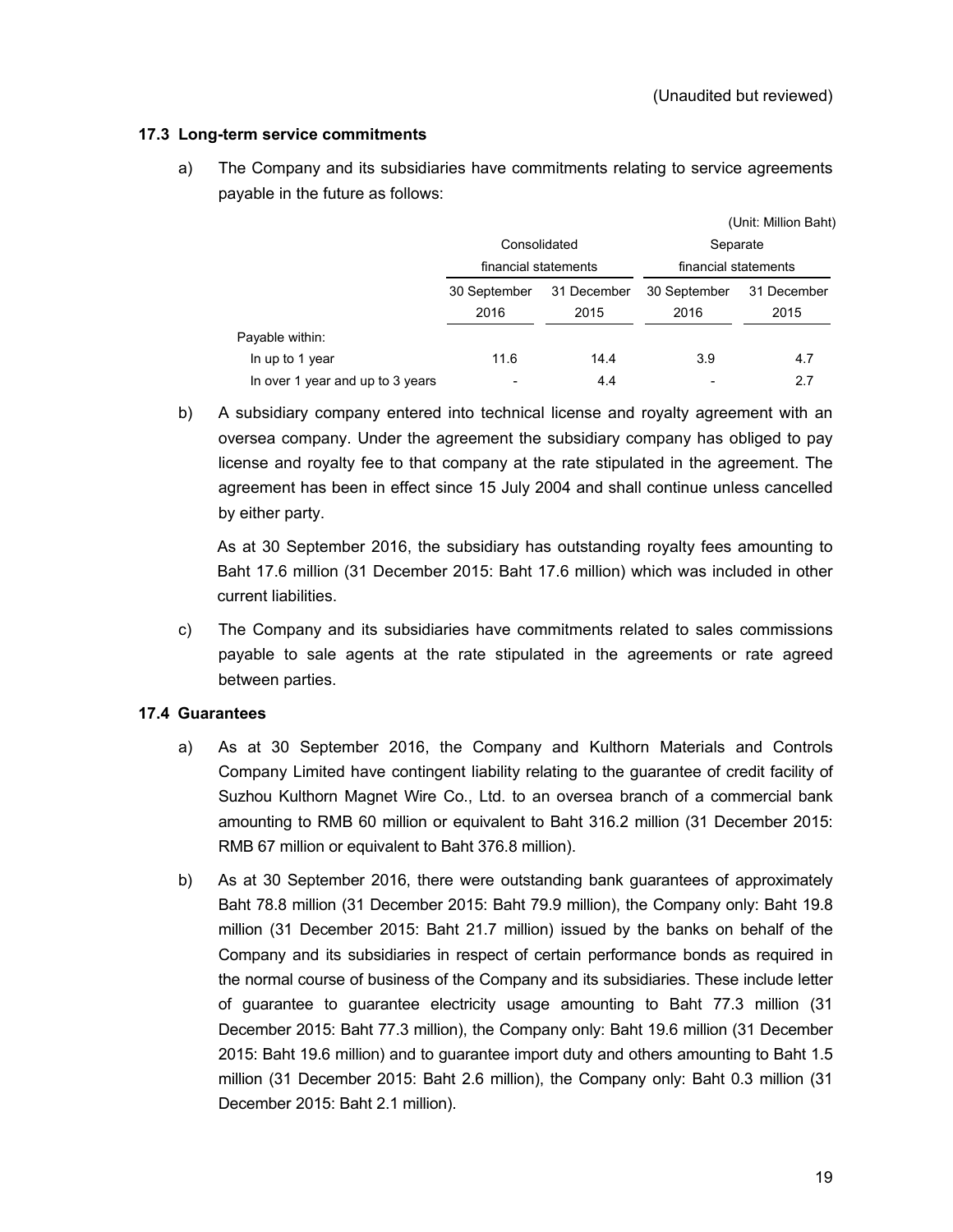### **17.3 Long-term service commitments**

a) The Company and its subsidiaries have commitments relating to service agreements payable in the future as follows:

|                                  |                             |      |                                  | (Unit: Million Baht) |
|----------------------------------|-----------------------------|------|----------------------------------|----------------------|
|                                  | Consolidated                |      | Separate<br>financial statements |                      |
|                                  | financial statements        |      |                                  |                      |
|                                  | 30 September<br>31 December |      | 30 September                     | 31 December          |
|                                  | 2016                        | 2015 | 2016                             | 2015                 |
| Payable within:                  |                             |      |                                  |                      |
| In up to 1 year                  | 11.6                        | 14.4 | 3.9                              | 4.7                  |
| In over 1 year and up to 3 years |                             | 4.4  |                                  | 2.7                  |

b) A subsidiary company entered into technical license and royalty agreement with an oversea company. Under the agreement the subsidiary company has obliged to pay license and royalty fee to that company at the rate stipulated in the agreement. The agreement has been in effect since 15 July 2004 and shall continue unless cancelled by either party.

 As at 30 September 2016, the subsidiary has outstanding royalty fees amounting to Baht 17.6 million (31 December 2015: Baht 17.6 million) which was included in other current liabilities.

c) The Company and its subsidiaries have commitments related to sales commissions payable to sale agents at the rate stipulated in the agreements or rate agreed between parties.

### **17.4 Guarantees**

- a) As at 30 September 2016, the Company and Kulthorn Materials and Controls Company Limited have contingent liability relating to the guarantee of credit facility of Suzhou Kulthorn Magnet Wire Co., Ltd. to an oversea branch of a commercial bank amounting to RMB 60 million or equivalent to Baht 316.2 million (31 December 2015: RMB 67 million or equivalent to Baht 376.8 million).
- b) As at 30 September 2016, there were outstanding bank guarantees of approximately Baht 78.8 million (31 December 2015: Baht 79.9 million), the Company only: Baht 19.8 million (31 December 2015: Baht 21.7 million) issued by the banks on behalf of the Company and its subsidiaries in respect of certain performance bonds as required in the normal course of business of the Company and its subsidiaries. These include letter of guarantee to guarantee electricity usage amounting to Baht 77.3 million (31 December 2015: Baht 77.3 million), the Company only: Baht 19.6 million (31 December 2015: Baht 19.6 million) and to guarantee import duty and others amounting to Baht 1.5 million (31 December 2015: Baht 2.6 million), the Company only: Baht 0.3 million (31 December 2015: Baht 2.1 million).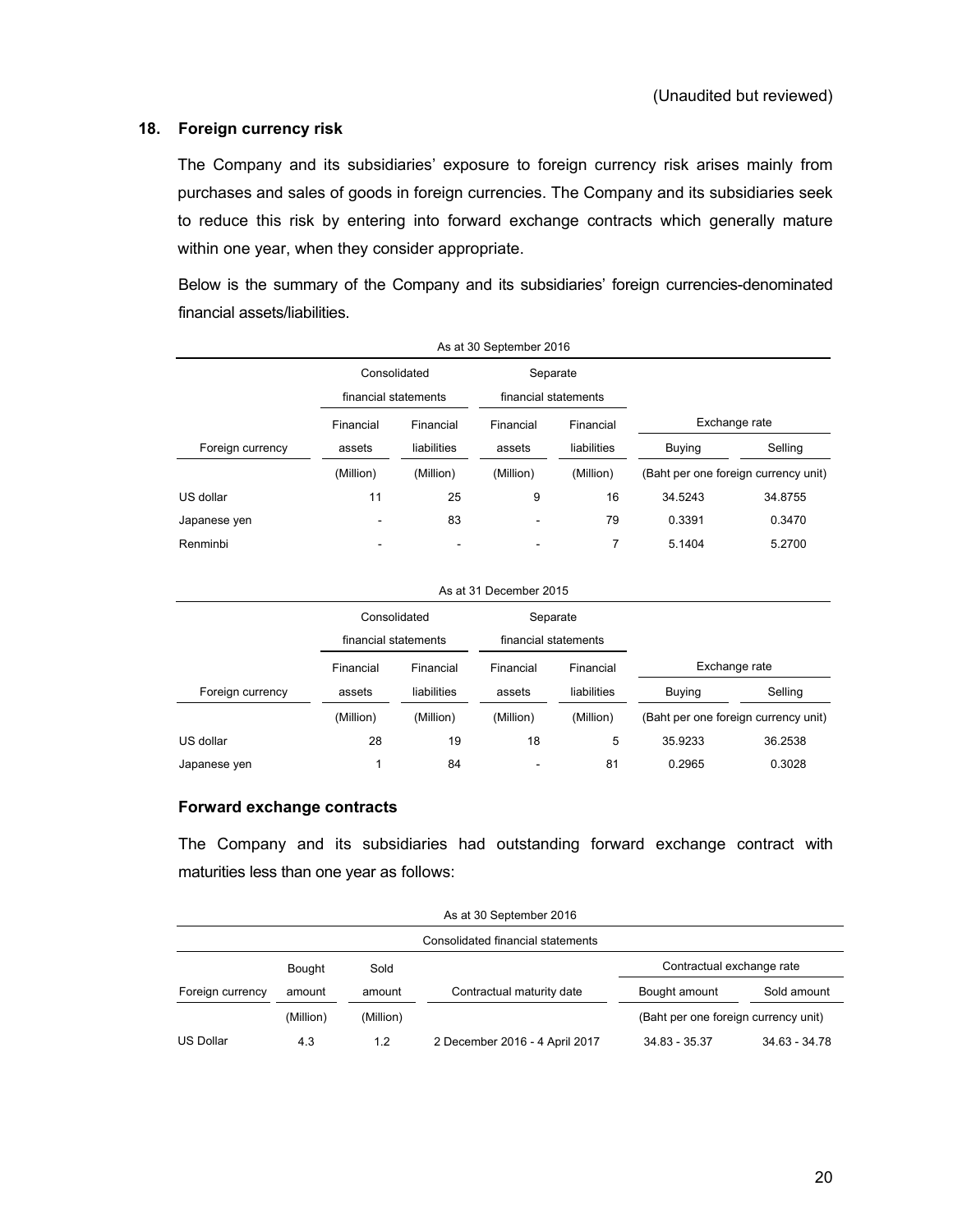### **18. Foreign currency risk**

The Company and its subsidiaries' exposure to foreign currency risk arises mainly from purchases and sales of goods in foreign currencies. The Company and its subsidiaries seek to reduce this risk by entering into forward exchange contracts which generally mature within one year, when they consider appropriate.

Below is the summary of the Company and its subsidiaries' foreign currencies-denominated financial assets/liabilities.

| As at 30 September 2016 |                      |                |                          |             |         |                                      |
|-------------------------|----------------------|----------------|--------------------------|-------------|---------|--------------------------------------|
|                         | Consolidated         |                | Separate                 |             |         |                                      |
|                         | financial statements |                | financial statements     |             |         |                                      |
|                         | Financial            | Financial      | Financial                | Financial   |         | Exchange rate                        |
| Foreign currency        | assets               | liabilities    | assets                   | liabilities | Buying  | Selling                              |
|                         | (Million)            | (Million)      | (Million)                | (Million)   |         | (Baht per one foreign currency unit) |
| US dollar               | 11                   | 25             | 9                        | 16          | 34.5243 | 34.8755                              |
| Japanese yen            |                      | 83             | $\overline{\phantom{0}}$ | 79          | 0.3391  | 0.3470                               |
| Renminbi                | -                    | $\blacksquare$ | ۰                        | 7           | 5.1404  | 5.2700                               |

| As at 31 December 2015 |                                      |             |                                  |             |               |                                      |  |
|------------------------|--------------------------------------|-------------|----------------------------------|-------------|---------------|--------------------------------------|--|
|                        | Consolidated<br>financial statements |             | Separate<br>financial statements |             |               |                                      |  |
|                        |                                      |             |                                  |             |               |                                      |  |
|                        | Financial                            | Financial   | Financial                        | Financial   |               | Exchange rate                        |  |
| Foreign currency       | assets                               | liabilities | assets                           | liabilities | <b>Buying</b> | Selling                              |  |
|                        | (Million)                            | (Million)   | (Million)                        | (Million)   |               | (Baht per one foreign currency unit) |  |
| US dollar              | 28                                   | 19          | 18                               | 5           | 35.9233       | 36.2538                              |  |
| Japanese yen           |                                      | 84          | ۰                                | 81          | 0.2965        | 0.3028                               |  |

### **Forward exchange contracts**

The Company and its subsidiaries had outstanding forward exchange contract with maturities less than one year as follows:

|                  |           |           | As at 30 September 2016           |                                      |                 |
|------------------|-----------|-----------|-----------------------------------|--------------------------------------|-----------------|
|                  |           |           | Consolidated financial statements |                                      |                 |
|                  | Bought    | Sold      |                                   | Contractual exchange rate            |                 |
| Foreign currency | amount    | amount    | Contractual maturity date         | Bought amount                        | Sold amount     |
|                  | (Million) | (Million) |                                   | (Baht per one foreign currency unit) |                 |
| <b>US Dollar</b> | 4.3       | 1.2       | 2 December 2016 - 4 April 2017    | $34.83 - 35.37$                      | $34.63 - 34.78$ |

As at 30 September 2016